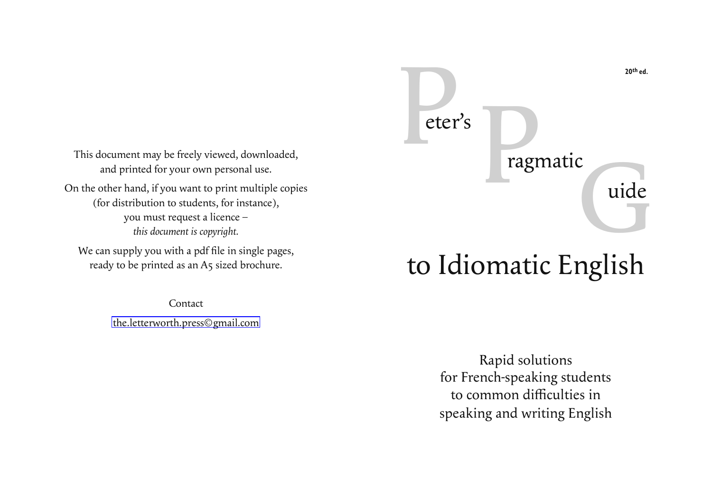eter's<br>ragmatic

This document may be freely viewed, downloaded, and printed for your own personal use.

On the other hand, if you want to print multiple copies (for distribution to students, for instance), you must request a licence – *this document is copyright.*

We can supply you with a pdf file in single pages, ready to be printed as an A5 sized brochure.

Contact

[the.letterworth.press©gmail.com](mailto: the.letterworth.press@gmail.com)

# to Idiomatic English

Rapid solutions for French-speaking students to common difficulties in speaking and writing English **20th ed.**

# ragmatic<br>uide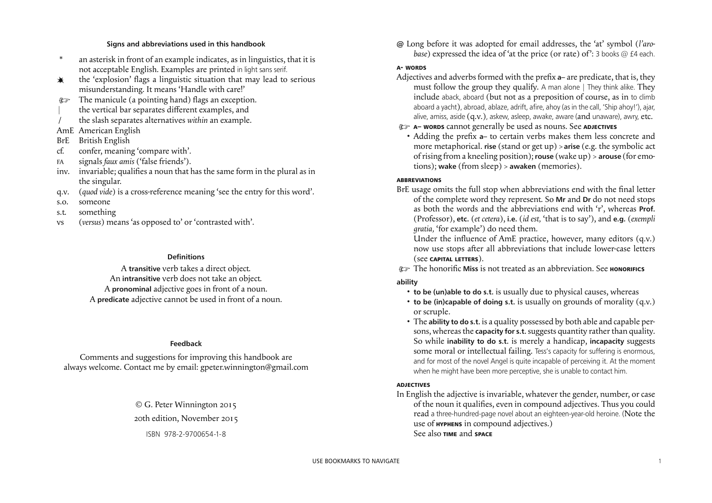### **A- WORDS**

- Adjectives and adverbs formed with the prefix **a** are predicate, that is, they must follow the group they qualify. A man alone | They think alike. They include aback, aboard (but not as a preposition of course, as in to climb aboard a yacht), abroad, ablaze, adrift, afire, ahoy (as in the call, 'Ship ahoy!'), ajar, alive, amiss, aside (q.v.), askew, asleep, awake, aware (and unaware), awry, etc.
- ) **A– WORDS** cannot generally be used as nouns. See **ADJECTIVES**
- Adding the prefix a- to certain verbs makes them less concrete and more metaphorical. **rise** (stand or get up) > **arise** (e.g. the symbolic act ofrising from a kneeling position); **rouse** (wake up) > **arouse** (for emotions); **wake** (from sleep) > **awaken** (memories).

### **ABBREVIATIONS**

- BrE usage omits the full stop when abbreviations end with the final letter of the complete word they represent. So **Mr** and **Dr** do not need stops as both the words and the abbreviations end with 'r', whereas **Prof.** (Professor), **etc.** (*et cetera*), **i.e.** (*id est,* 'that is to say'), and **e.g.** (*exempli gratia,* 'for example') do need them. Under the influence of AmE practice, however, many editors (q.v.) now use stops after all abbreviations that include lower-case letters (see **CAPITAL LETTERS**).
- *C* The honorific Miss is not treated as an abbreviation. See **HONORIFICS ability**
	- **to be (un)able to do s.t.** is usually due to physical causes, whereas
	- **to be (in)capable of doing s.t.** is usually on grounds of morality (q.v.) or scruple.
	- The **ability to do s.t.** is a quality possessed by both able and capable persons, whereasthe **capacity for s.t.**suggests quantity ratherthan quality. So while **inability to do s.t.** is merely a handicap, **incapacity** suggests some moral or intellectual failing. Tess's capacity for suffering is enormous, and for most of the novel Angel is quite incapable of perceiving it. At the moment when he might have been more perceptive, she is unable to contact him.

# **ADJECTIVES**

In English the adjective is invariable, whatever the gender, number, or case of the noun it qualifies, even in compound adjectives. Thus you could read a three-hundred-page novel about an eighteen-year-old heroine. (Note the use of **HYPHENS** in compound adjectives.) See also **TIME** and **SPACE**

### **Signs and abbreviations used in this handbook**

- <span id="page-1-0"></span>\* an asterisk in front of an example indicates, as in linguistics, that it is not acceptable English. Examples are printed in light sans serif.
- $*$  the 'explosion' flags a linguistic situation that may lead to serious misunderstanding. It means 'Handle with care!'
- $\text{or}$  The manicule (a pointing hand) flags an exception.
- the vertical bar separates different examples, and
- / the slash separates alternatives *within* an example.
- AmE American English
- BrE British English
- cf. confer, meaning 'compare with'.
- FA signals *faux amis* ('false friends').
- inv. invariable; qualifies a noun that has the same form in the plural as in the singular.
- q.v. (*quod vide*) is a cross-reference meaning 'see the entry for this word'.
- s.o. someone
- s.t. something
- vs (*versus*) means 'as opposed to' or 'contrasted with'.

# **Definitions**

A **transitive** verb takes a direct object. An **intransitive** verb does not take an object. A **pronominal** adjective goes in front of a noun. A **predicate** adjective cannot be used in front of a noun.

### **Feedback**

Comments and suggestions for improving this handbook are always welcome. Contact me by email: gpeter.winnington@gmail.com

> © G. Peter Winnington 2015 20th edition, November 2015 ISBN 978-2-9700654-1-8

**@** Long before it was adopted for email addresses, the 'at' symbol (*l'arobase*) expressed the idea of 'at the price (or rate) of': 3 books @ £4 each.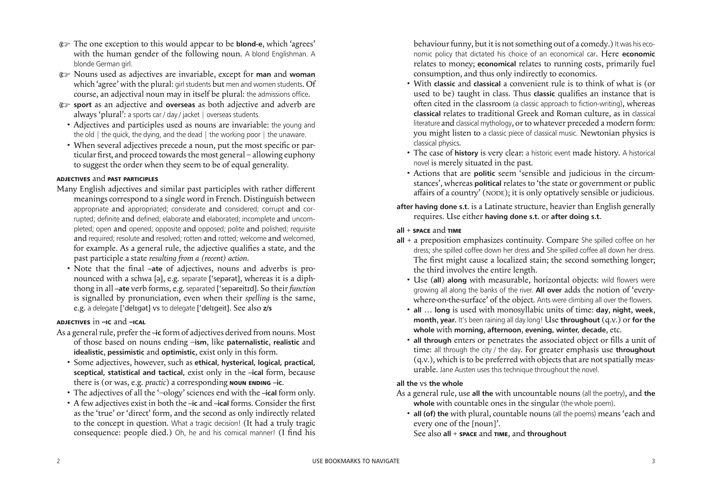behaviour funny, but it is not something out of a comedy.) It was his economic policy that dictated his choice of an economical car. Here **economic** relates to money; **economical** relates to running costs, primarily fuel consumption, and thus only indirectly to economics.

- With **classic** and **classical** a convenient rule is to think of what is (or used to be) taught in class. Thus **classic** qualifies an instance that is often cited in the classroom (a classic approach to fiction-writing), whereas **classical** relates to traditional Greek and Roman culture, as in classical literature and classical mythology, or to whatever preceded a modern form: you might listen to a classic piece of classical music. Newtonian physics is classical physics.
- The case of **history** is very clear: a historic event made history. A historical novel is merely situated in the past.
- Actions that are **politic** seem 'sensible and judicious in the circumstances', whereas **political** relates to 'the state or government or public afairs of a country' (NODE); it is only optatively sensible or judicious.
- **after having done s.t.** is a Latinate structure, heavier than English generally requires. Use either **having done s.t.** or **after doing s.t.**

### **all** + **SPACE** and **TIME**

- Many English adjectives and similar past participles with rather diferent meanings correspond to a single word in French. Distinguish between appropriate and appropriated; considerate and considered; corrupt and corrupted; definite and defined; elaborate and elaborated; incomplete and uncompleted; open and opened; opposite and opposed; polite and polished; requisite and required; resolute and resolved; rotten and rotted; welcome and welcomed, for example. As a general rule, the adjective qualifies a state, and the past participle a state *resulting from a (recent) action*.
	- Note that the final -ate of adjectives, nouns and adverbs is pronounced with a schwa [ə], e.g. separate [ sepərət], whereas it is a diphthong in all **–ate** verb forms, e.g. separated [ sepəreitd]. So their *function* is signalled by pronunciation, even when their *spelling* is the same, e.g. a delegate ['delɪgət] vs to delegate ['delɪgeit]. See also **z/s**
- **all** + a preposition emphasizes continuity. Compare She spilled coffee on her dress; she spilled coffee down her dress and She spilled coffee all down her dress. The first might cause a localized stain; the second something longer; the third involves the entire length.
	- Use (**all**) **along** with measurable, horizontal objects: wild flowers were growing all along the banks of the river. **All over** adds the notion of 'everywhere-on-the-surface' of the object. Ants were climbing all over the flowers.
	- **all** … **long** is used with monosyllabic units of time: **day**, **night**, **week**, **month**, **year**. It's been raining all day long! Use **throughout** (q.v.) or **for the whole** with **morning**, **afternoon**, **evening, winter, decade**, etc.
	- all through enters or penetrates the associated object or fills a unit of time: all through the city / the day. For greater emphasis use **throughout**  $(q.v.)$ , which is to be preferred with objects that are not spatially measurable. Jane Austen uses this technique throughout the novel.

### **all the** vs **the whole**

- As a general rule, use **all the** with uncountable nouns (all the poetry), and **the** whole with countable ones in the singular (the whole poem).
	- **all (of) the** with plural, countable nouns (all the poems) means 'each and every one of the [noun]'.
	- See also **all** + **SPACE** and **TIME**, and **throughout**
- <span id="page-2-0"></span>) The one exception to this would appear to be **blond-e**, which 'agrees' with the human gender of the following noun. A blond Englishman. A blonde German girl.
- ) Nouns used as adjectives are invariable, except for **man** and **woman** which 'agree' with the plural: girl students but men and women students. Of course, an adjectival noun may in itself be plural: the admissions office.
- ) **sport** as an adjective and **overseas** as both adjective and adverb are always 'plural': a sports car / day / jacket | overseas students.
	- Adjectives and participles used as nouns are invariable: the young and the old | the quick, the dying, and the dead | the working poor | the unaware.
	- When several adjectives precede a noun, put the most specific or particular first, and proceed towards the most general – allowing euphony to suggest the order when they seem to be of equal generality.

### **ADJECTIVES** and **PAST PARTICIPLES**

# **ADJECTIVES** in **–IC** and **–ICAL**

- As a general rule, prefer the -ic form of adjectives derived from nouns. Most of those based on nouns ending –**ism**, like **paternalistic**, **realistic** and **idealistic**, **pessimistic** and **optimistic**, exist only in this form.
	- Some adjectives, however, such as **ethical, hysterical, logical, practical, sceptical, statistical and tactical,** exist only in the **–ical** form, because there is (or was, e.g. *practic*) a corresponding **NOUN ENDING –ic**.
	- The adjectives of all the '–ology' sciences end with the **–ical** form only.
	- A few adjectives exist in both the -ic and -ical forms. Consider the first as the 'true' or 'direct' form, and the second as only indirectly related to the concept in question. What a tragic decision! (It had a truly tragic consequence: people died.) Oh, he and his comical manner! (I find his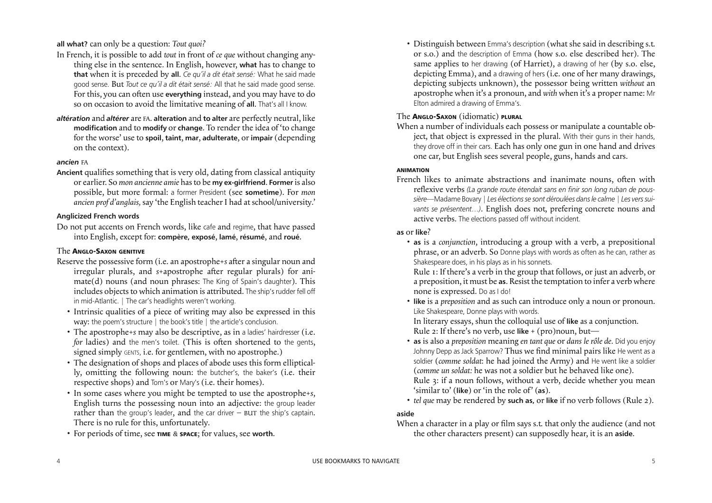• Distinguish between Emma's description (what she said in describing s.t. or s.o.) and the description of Emma (how s.o. else described her). The same applies to her drawing (of Harriet), a drawing of her (by s.o. else, depicting Emma), and a drawing of hers (i.e. one of her many drawings, depicting subjects unknown), the possessor being written *without* an apostrophe when it's a pronoun, and *with* when it's a proper name: Mr Elton admired a drawing of Emma's.

# The **ANGLO-SAXON** (idiomatic) **PLURAL**

French likes to animate abstractions and inanimate nouns, often with relexive verbs *(La grande route étendait sans en finir son long ruban de poussière—*Madame Bovary *| Les électionsse sont déroulées dansle calme | Les verssuivants se présentent…)*. English does not, prefering concrete nouns and active verbs. The elections passed off without incident.

When a number of individuals each possess or manipulate a countable object, that object is expressed in the plural. With their guns in their hands, they drove off in their cars. Each has only one gun in one hand and drives one car, but English sees several people, guns, hands and cars.

### **ANIMATION**

### **as** or **like**?

When a character in a play or film says s.t. that only the audience (and not the other characters present) can supposedly hear, it is an **aside**.

- **as** is a *conjunction*, introducing a group with a verb, a prepositional phrase, or an adverb. So Donne plays with words as often as he can, rather as Shakespeare does, in his plays as in his sonnets. Rule 1: If there's a verb in the group that follows, or just an adverb, or a preposition, it must be **as**. Resist the temptation to infer a verb where none is expressed. Do as I do!
- **like** is a *preposition* and as such can introduce only a noun or pronoun. Like Shakespeare, Donne plays with words. In literary essays, shun the colloquial use of **like** as a conjunction. Rule 2: If there's no verb, use **like** + (pro)noun, but—
- **as** is also a *preposition* meaning *en tant que* or *dans le rôle de.* Did you enjoy Johnny Depp as Jack Sparrow? Thus we find minimal pairs like He went as a soldier (*comme soldat*: he had joined the Army) and He went like a soldier (*comme un soldat:* he was not a soldier but he behaved like one). Rule 3: if a noun follows, without a verb, decide whether you mean 'similar to' (**like**) or 'in the role of' (**as**).
- *tel que* may be rendered by **such as,** or **like** if no verb follows (Rule 2).

### **aside**

<span id="page-3-0"></span>**all what?** can only be a question: *Tout quoi?*

- Reserve the possessive form (i.e. an apostrophe<sup>+</sup>*s* after a singular noun and irregular plurals, and *s*+apostrophe after regular plurals) for animate(d) nouns (and noun phrases: The King of Spain's daughter). This includes objects to which animation is attributed. The ship's rudder fell off in mid-Atlantic. *|* The car's headlights weren't working.
	- Intrinsic qualities of a piece of writing may also be expressed in this way: the poem's structure | the book's title | the article's conclusion.
	- The apostrophe+*s* may also be descriptive, as in a ladies' hairdresser (i.e. *for* ladies) and the men's toilet. (This is often shortened to the gents, signed simply GENTS, i.e. for gentlemen, with no apostrophe.)
	- The designation of shops and places of abode uses this form elliptically, omitting the following noun: the butcher's, the baker's (i.e. their respective shops) and Tom's or Mary's (i.e. their homes).
	- In some cases where you might be tempted to use the apostrophe+*s*, English turns the possessing noun into an adjective: the group leader rather than the group's leader, and the car driver  $-$  BUT the ship's captain. There is no rule for this, unfortunately.
	- For periods of time, see **TIME** & **SPACE**; for values, see **worth**.
- In French, it is possible to add *tout* in front of *ce que* without changing anything else in the sentence. In English, however, **what** has to change to **that** when it is preceded by **all**. *Ce qu'il a dit était sensé:* What he said made good sense. But *Tout ce qu'il a dit était sensé:* All that he said made good sense. For this, you can often use **everything** instead, and you may have to do so on occasion to avoid the limitative meaning of **all**. That's all I know.
- *altération* and *altérer* are FA. **alteration** and **to alter** are perfectly neutral, like **modification** and to **modify** or **change**. To render the idea of 'to change for the worse' use to **spoil**, **taint**, **mar**, **adulterate**, or **impair** (depending on the context).

### *ancien* FA

**Ancient** qualifies something that is very old, dating from classical antiquity or earlier. So *mon ancienne amie* hasto be **my ex-girlfriend**. **Former** is also possible, but more formal: a former President (see **sometime**). For *mon ancien prof d'anglais,* say 'the English teacher I had at school/university.'

### **Anglicized French words**

Do not put accents on French words, like cafe and regime, that have passed into English, except for: **compère, exposé**, **lamé**, **résumé**, and **roué**.

# The **ANGLO-SAXON GENITIVE**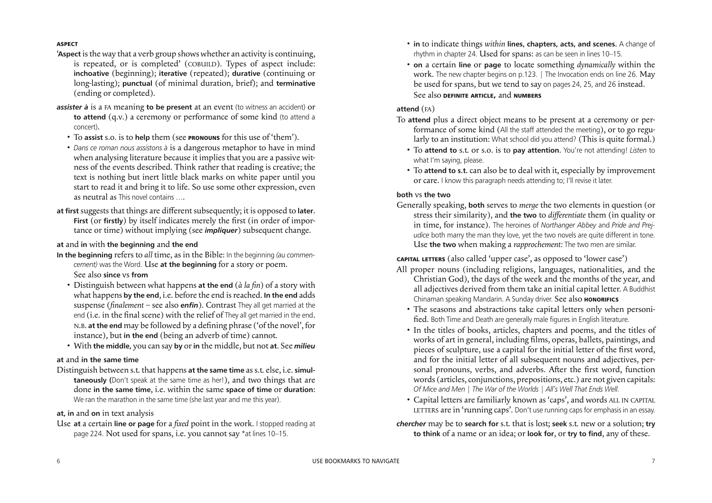- **in** to indicate things *within* **lines, chapters, acts, and scenes.** A change of rhythm in chapter 24. Used for spans: as can be seen in lines 10–15.
- **on** a certain **line** or **page** to locate something *dynamically* within the work. The new chapter begins on p.123. | The Invocation ends on line 26. May be used for spans, but we tend to say on pages 24, 25, and 26 instead. See also **DEFINITE ARTICLE,** and **NUMBERS**

# **attend** (FA)

- To **attend** plus a direct object means to be present at a ceremony or performance of some kind (All the staff attended the meeting), or to go regularly to an institution: What school did you attend? (This is quite formal.)
	- To **attend to** s.t. or s.o. is to **pay attention**. You're not attending! *Listen* to what I'm saying, please.
	- To **attend to s.t.** can also be to deal with it, especially by improvement or care. I know this paragraph needs attending to; I'll revise it later.

# **both** vs **the two**

Generally speaking, **both** serves to *merge* the two elements in question (or stress their similarity), and **the two** to *diferentiate* them (in quality or in time, for instance). The heroines of *Northanger Abbey* and *Pride and Prejudice* both marry the man they love, yet the two novels are quite different in tone. Use **the two** when making a *rapprochement:* The two men are similar.

# **CAPITAL LETTERS** (also called 'upper case', as opposed to 'lower case')

- 'Aspect is the way that a verb group shows whether an activity is continuing, is repeated, or is completed' (COBUILD). Types of aspect include: **inchoative** (beginning); **iterative** (repeated); **durative** (continuing or long-lasting); **punctual** (of minimal duration, brief); and **terminative** (ending or completed).
- *assister à* is a FA meaning **to be present** at an event (to witness an accident) or **to attend** (q.v.) a ceremony or performance of some kind (to attend a concert).
	- To **assist** s.o. is to **help** them (see **PRONOUNS** for this use of 'them').
	- *Dans ce roman nous assistons à* is a dangerous metaphor to have in mind when analysing literature because it implies that you are a passive witness of the events described. Think rather that reading is creative; the text is nothing but inert little black marks on white paper until you start to read it and bring it to life. So use some other expression, even as neutral as This novel contains ….
- **at first** suggests that things are diferent subsequently; it is opposed to **later**. **First** (or **firstly**) by itself indicates merely the first (in order of importance or time) without implying (see *impliquer*) subsequent change.

- All proper nouns (including religions, languages, nationalities, and the Christian God), the days of the week and the months of the year, and all adjectives derived from them take an initial capital letter. A Buddhist Chinaman speaking Mandarin. A Sunday driver. See also **HONORIFICS** 
	- The seasons and abstractions take capital letters only when personified. Both Time and Death are generally male figures in English literature.
	- In the titles of books, articles, chapters and poems, and the titles of works of art in general, including films, operas, ballets, paintings, and pieces of sculpture, use a capital for the initial letter of the first word, and for the initial letter of all subsequent nouns and adjectives, personal pronouns, verbs, and adverbs. After the first word, function words (articles, conjunctions, prepositions, etc.) are not given capitals: *Of Mice and Men* | *The War of the Worlds* | *All's Well That Ends Well.*
	- Capital letters are familiarly known as 'caps', and words ALL IN CAPITAL LETTERS are in 'running caps'. Don't use running caps for emphasis in an essay.
- *chercher* may be to **search for** s.t. that is lost; **seek** s.t. new or a solution; **try to think** of a name or an idea; or **look for**, or **try to find**, any of these.

Distinguish between s.t. that happens **at the same time** ass.t. else, i.e. **simultaneously (**Don't speak at the same time as her!), and two things that are done **in the same time**, i.e. within the same **space of time** or **duration**: We ran the marathon in the same time (she last year and me this year).

### **ASPECT**

### **at** and **in** with **the beginning** and **the end**

- **In the beginning** refers to *all* time, as in the Bible: In the beginning *(au commencement)* was the Word. Use **at the beginning** for a story or poem. See also **since** vs **from**
	- Distinguish between what happens **at the end** (*à la in*) of a story with what happens **by the end**, i.e. before the end isreached. **In the end** adds suspense (*inalement –* see also *enfin*). Contrast They all get married at the end (i.e. in the final scene) with the relief of They all get married in the end. N.B. **at the end** may be followed by a deining phrase ('of the novel', for instance), but **in the end** (being an adverb of time) cannot.
	- With **the middle,** you can say **by** or**in** the middle, but not **at**. See *milieu*

### **at** and **in the same time**

### **at, in** and **on** in text analysis

Use **at** a certain **line or page** for a *ixed* point in the work*.* I stopped reading at page 224. Not used for spans, i.e. you cannot say \*at lines 10–15.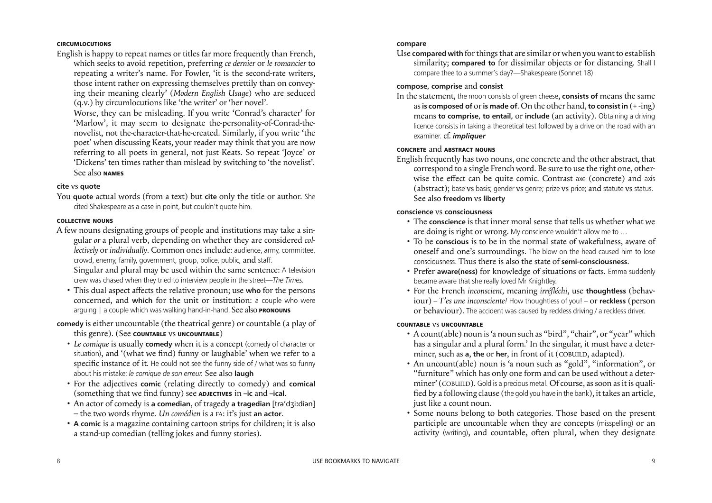### **compare**

Use **compared with** forthingsthat are similar or when you want to establish similarity; **compared to** for dissimilar objects or for distancing. Shall I compare thee to a summer's day?—Shakespeare (Sonnet 18)

### **compose, comprise** and **consist**

In the statement, the moon consists of green cheese, **consists of** means the same as**is composed of** or**is made of**. On the other hand, **to consist in** (+ -ing) means **to comprise, to entail,** or **include** (an activity). Obtaining a driving licence consists in taking a theoretical test followed by a drive on the road with an examiner. cf. *impliquer*

### **CONCRETE** and **ABSTRACT NOUNS**

English frequently has two nouns, one concrete and the other abstract, that correspond to a single French word. Be sure to use the right one, otherwise the effect can be quite comic. Contrast axe (concrete) and axis (abstract); base vs basis; gender vs genre; prize vs price; and statute vs status. See also **freedom** vs **liberty**

- A count(able) noun is'a noun such as "bird", "chair", or "year" which has a singular and a plural form.' In the singular, it must have a determiner, such as **a**, the or her, in front of it (COBUILD, adapted).
- An uncount(able) noun is 'a noun such as "gold", "information", or "furniture" which has only one form and can be used without a determiner' (COBUILD). Gold is a precious metal. Of course, as soon as it is qualified by a following clause (the gold you have in the bank), it takes an article, just like a count noun.
- Some nouns belong to both categories. Those based on the present participle are uncountable when they are concepts (misspelling) or an activity (writing), and countable, often plural, when they designate

### **conscience** vs **consciousness**

- The **conscience** is that inner moral sense that tells us whether what we are doing is right or wrong. My conscience wouldn't allow me to …
- To be **conscious** is to be in the normal state of wakefulness, aware of oneself and one's surroundings. The blow on the head caused him to lose consciousness. Thus there is also the state of **semi-consciousness**.
- Prefer **aware(ness)** for knowledge of situations or facts. Emma suddenly became aware that she really loved Mr Knightley.
- For the French *inconscient,* meaning *irréfléchi*, use **thoughtless** (behaviour) – *T'es une inconsciente!* How thoughtless of you! – or **reckless** (person or behaviour). The accident was caused by reckless driving / a reckless driver.

### **COUNTABLE** vs **UNCOUNTABLE**

- A few nouns designating groups of people and institutions may take a singular *or* a plural verb, depending on whether they are considered *collectively* or *individually*. Common ones include: audience, army, committee, crowd, enemy, family, government, group, police, public, and staff. Singular and plural may be used within the same sentence: A television crew was chased when they tried to interview people in the street—*The Times.*
	- This dual aspect affects the relative pronoun; use who for the persons concerned, and **which** for the unit or institution: a couple who were arguing | a couple which was walking hand-in-hand. See also **PRONOUNS**

### **CIRCUMLOCUTIONS**

English is happy to repeat names or titles far more frequently than French, which seeks to avoid repetition, preferring *ce dernier* or *le romancier* to repeating a writer's name. For Fowler, 'it is the second-rate writers, those intent rather on expressing themselves prettily than on conveying their meaning clearly' (*Modern English Usage*) who are seduced (q.v.) by circumlocutions like 'the writer' or 'her novel'.

 Worse, they can be misleading. If you write 'Conrad's character' for 'Marlow', it may seem to designate the-personality-of-Conrad-thenovelist, not the-character-that-he-created. Similarly, if you write 'the poet' when discussing Keats, your reader may think that you are now referring to all poets in general, not just Keats. So repeat 'Joyce' or 'Dickens' ten times rather than mislead by switching to 'the novelist'. See also **NAMES**

### **cite** vs **quote**

You **quote** actual words (from a text) but **cite** only the title or author. She cited Shakespeare as a case in point, but couldn't quote him.

### **COLLECTIVE NOUNS**

**comedy** is either uncountable (the theatrical genre) or countable (a play of this genre). (See **COUNTABLE** vs **UNCOUNTABLE**)

- *Le comique* is usually **comedy** when it is a concept (comedy of character or situation), and '(what we find) funny or laughable' when we refer to a specific instance of it. He could not see the funny side of / what was so funny about his mistake: *le comique de son erreur.* See also **laugh**
- For the adjectives **comic** (relating directly to comedy) and **comical** (something that we find funny) see **ADJECTIVES** in  $-$ ic and  $-$ ical.
- An actor of comedy is **a comedian**, of tragedy **a tragedian** [trə d
idiən] – the two words rhyme. *Un comédien* is a FA: it's just **an actor**.
	- **A comic** is a magazine containing cartoon strips for children; it is also a stand-up comedian (telling jokes and funny stories).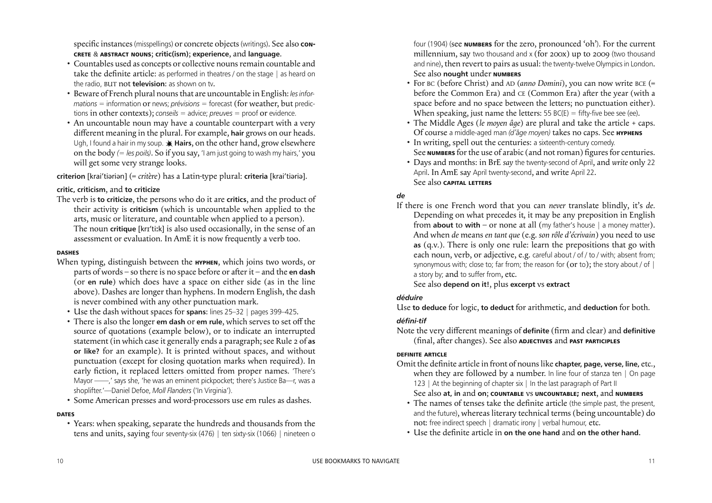four (1904) (see **NUMBERS** for the zero, pronounced 'oh'). For the current millennium, say two thousand and x (for 200x) up to 2009 (two thousand and nine), then revert to pairs as usual: the twenty-twelve Olympicsin London. See also **nought** under **NUMBERS**

- For BC (before Christ) and AD (*anno Domini*), you can now write BCE (= before the Common Era) and CE (Common Era) after the year (with a space before and no space between the letters; no punctuation either). When speaking, just name the letters: 55 BC(E) = fifty-five bee see (ee).
- The Middle Ages (*le moyen âge*) are plural and take the article + caps. Of course a middle-aged man *(d'âge moyen)* takes no caps. See **HYPHENS**
- In writing, spell out the centuries: a sixteenth-century comedy. See **NUMBERS** for the use of arabic (and not roman) figures for centuries.
- Days and months: in BrE *say* the twenty-second of April, and *write* only 22 April. In AmE say April twenty-second, and write April 22. See also **CAPITAL LETTERS**

# *de*

- Omit the definite article in front of nouns like **chapter**, page, verse, line, etc., when they are followed by a number. In line four of stanza ten | On page 123 | At the beginning of chapter six | In the last paragraph of Part II See also **at, in** and **on**; **COUNTABLE** vs **UNCOUNTABLE; next**, and **NUMBERS**
	- The names of tenses take the definite article (the simple past, the present, and the future), whereas literary technical terms (being uncountable) do not: free indirect speech | dramatic irony | verbal humour, etc.
	- Use the deinite article in **on the one hand** and **on the other hand.**

specific instances (misspellings) or concrete objects (writings). See also **con-CRETE** & **ABSTRACT NOUNS**; **critic(ism)**; **experience**, and **language**.

> If there is one French word that you can *never* translate blindly, it's *de.* Depending on what precedes it, it may be any preposition in English from **about** to **with** – or none at all (my father's house | a money matter). And when *de* means *en tant que* (e.g. *son rôle d'écrivain*) you need to use **as** (q.v.). There is only one rule: learn the prepositions that go with each noun, verb, or adjective, e.g. careful about / of / to / with; absent from; synonymous with; close to; far from; the reason for (or to); the story about / of | a story by; and to suffer from, etc. See also **depend on it!**, plus **excerpt** vs **extract**

# *déduire*

Use **to deduce** for logic, **to deduct** for arithmetic, and **deduction** for both.

- Countables used as concepts or collective nouns remain countable and take the definite article: as performed in theatres / on the stage | as heard on the radio, BUT not **television**: as shown on tv.
- Beware of French plural nounsthat are uncountable in English: *lesinformations* = information or news; *prévisions* = forecast (for weather, but predictions in other contexts); *conseils* = advice; *preuves* = proof or evidence.
- An uncountable noun may have a countable counterpart with a very diferent meaning in the plural. For example, **hair** grows on our heads. Ugh, I found a hair in my soup.  $*$  Hairs, on the other hand, grow elsewhere on the body *(= les poils)*. So if you say, 'I am just going to wash my hairs,' you will get some very strange looks.

**criterion** [krai'tiəriən] (= *critère*) has a Latin-type plural: **criteria** [krai'tiəriə].

# *défini-tif*

Note the very different meanings of definite (firm and clear) and definitive (final, after changes). See also **ADJECTIVES** and **PAST PARTICIPLES** 

# **DEFINITE ARTICLE**

# **critic, criticism**, and **to criticize**

The verb is **to criticize**, the persons who do it are **critics**, and the product of their activity is **criticism** (which is uncountable when applied to the arts, music or literature, and countable when applied to a person). The noun **critique** [krɪ'tiːk] is also used occasionally, in the sense of an assessment or evaluation. In AmE it is now frequently a verb too.

### **DASHES**

- When typing, distinguish between the **HYPHEN**, which joins two words, or parts of words – so there is no space before or after it – and the **en dash** (or **en rule**) which does have a space on either side (as in the line above). Dashes are longer than hyphens. In modern English, the dash is never combined with any other punctuation mark.
	- Use the dash without spaces for **spans**: lines 25–32 | pages 399–425.
	- There is also the longer **em dash** or **em rule**, which serves to set of the source of quotations (example below), or to indicate an interrupted statement (in which case it generally ends a paragraph;see Rule 2 of **as or like?** for an example). It is printed without spaces, and without punctuation (except for closing quotation marks when required). In early fiction, it replaced letters omitted from proper names. 'There's Mayor ——,' says she, 'he was an eminent pickpocket; there's Justice Ba—r, was a shoplifter.'—Daniel Defoe, *Moll Flanders* ('In Virginia').
	- Some American presses and word-processors use em rules as dashes.

### **DATES**

 • Years: when speaking, separate the hundreds and thousands from the tens and units, saying four seventy-six (476) | ten sixty-six (1066) | nineteen o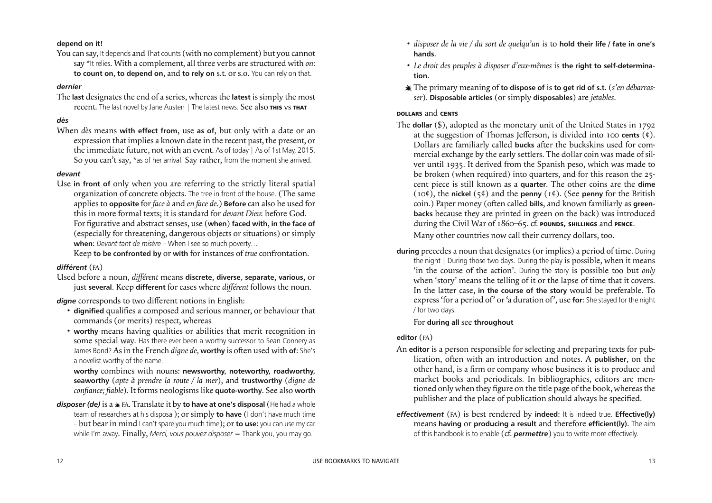- *disposer de la vie / du sort de quelqu'un* is to **hold their life / fate in one's hands**.
- *Le droit des peuples à disposer d'eux-mêmes* is **the right to self-determination**.
- The primary meaning of **to dispose of** is **to get rid of s.t.** (*s'en débarrasser*). **Disposable articles** (or simply **disposables**) are *jetables*.

# **DOLLARS** and **CENTS**

- The **dollar** (\$), adopted as the monetary unit of the United States in 1792 at the suggestion of Thomas Jeferson, is divided into 100 **cents** (¢). Dollars are familiarly called **bucks** after the buckskins used for commercial exchange by the early settlers. The dollar coin was made of silver until 1935. It derived from the Spanish peso, which was made to be broken (when required) into quarters, and for this reason the 25 cent piece is still known as a **quarter**. The other coins are the **dime** (10¢), the **nickel** (5¢) and the **penny** (1¢). (See **penny** for the British coin.) Paper money (often called **bills**, and known familiarly as green**backs** because they are printed in green on the back) was introduced during the Civil War of 1860–65. cf. **POUNDS, SHILLINGS** and **PENCE**. Many other countries now call their currency dollars, too.
- **during** precedes a noun that designates (or implies) a period of time. During the night | During those two days. During the play is possible, when it means 'in the course of the action'. During the story is possible too but *only* when 'story' means the telling of it or the lapse of time that it covers. In the latter case, **in the course of the story** would be preferable. To express 'for a period of' or 'a duration of', use **for**: She stayed for the night / for two days.

The **last** designates the end of a series, whereas the **latest** is simply the most recent. The last novel by Jane Austen | The latest news. See also THIS VS THAT

### For **during all** see **throughout**

# **editor** (FA)

- An **editor** is a person responsible for selecting and preparing texts for publication, often with an introduction and notes. A **publisher**, on the other hand, is a firm or company whose business it is to produce and market books and periodicals. In bibliographies, editors are mentioned only when they figure on the title page of the book, whereas the publisher and the place of publication should always be specified.
- *effectivement* (FA) is best rendered by **indeed**: It is indeed true. **Effective(ly)** means **having** or **producing a result** and therefore **efficient(ly)**. The aim of this handbook is to enable (cf. *permettre*) you to write more effectively.
- dignified qualifies a composed and serious manner, or behaviour that commands (or merits) respect, whereas
- **worthy** means having qualities or abilities that merit recognition in some special way. Has there ever been a worthy successor to Sean Connery as James Bond? As in the French *digne de*, worthy is often used with of: She's a novelist worthy of the name.

### **depend on it!**

You can say, It depends and That counts (with no complement) but you cannot say \*It relies. With a complement, all three verbs are structured with *on*: **to count on**, **to depend on**, and **to rely on** s.t. or s.o. You can rely on that.

### *dernier*

### *dès*

When *dès* means **with effect from**, use **as of**, but only with a date or an expression that implies a known date in the recent past, the present, or the immediate future, not with an event. As of today | As of 1st May, 2015. So you can't say, \*as of her arrival. Say rather, from the moment she arrived.

### *devant*

Use **in front of** only when you are referring to the strictly literal spatial organization of concrete objects. The tree in front of the house. (The same applies to **opposite** for *face à* and *en face de*.) **Before** can also be used for this in more formal texts; it is standard for *devant Dieu*: before God. For igurative and abstract senses, use (**when**) **faced with**, **in the face of** (especially for threatening, dangerous objects or situations) or simply **when**: *Devant tant de misère* – When I see so much poverty…

Keep **to be confronted by** or **with** for instances of *true* confrontation.

### *différent* (FA)

Used before a noun, *diférent* means **discrete**, **diverse**, **separate**, **various**, or just **several**. Keep **different** for cases where *diférent* follows the noun.

*digne* corresponds to two diferent notions in English:

 **worthy** combines with nouns: **newsworthy, noteworthy, roadworthy, seaworthy** (*apte à prendre la route / la mer*), and **trustworthy** (*digne de coniance; iable*). It forms neologisms like **quote-worthy**. See also **worth**

*disposer (de)* is a FA. Translate it by **to have at one's disposal** (He had a whole team of researchers at his disposal); or simply **to have** (I don't have much time – but bear in mind I can't spare you much time); or **to use**: you can use my car while I'm away. Finally, *Merci, vous pouvez disposer* = Thank you, you may go.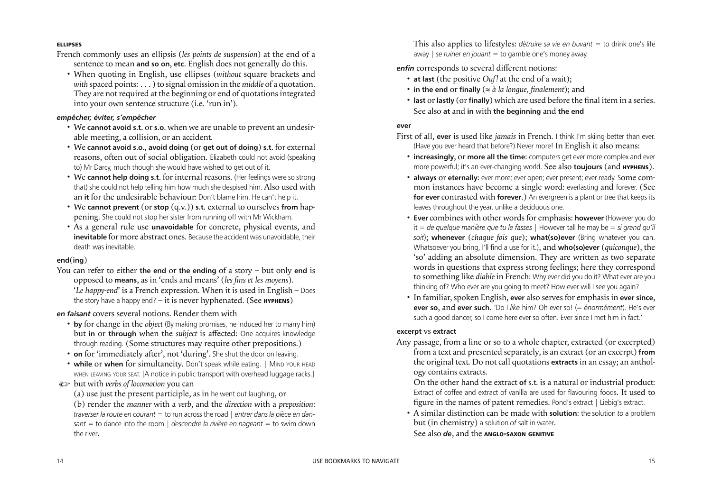This also applies to lifestyles: *détruire sa vie en buvant* = to drink one's life away | *se ruiner en jouant* = to gamble one's money away.

*enfin* corresponds to several diferent notions:

- **at last** (the positive *Ouf!* at the end of a wait);
- **in the end** or **finally** ( $\approx \hat{a}$  *la longue*, *finalement*); and
- last or lastly (or finally) which are used before the final item in a series. See also **at** and **in** with **the beginning** and **the end**

### **ever**

- First of all, **ever** is used like *jamais* in French. I think I'm skiing better than ever. (Have you ever heard that before?) Never more! In English it also means:
	- **increasingly**, or **more all the time**: computers get ever more complex and ever more powerful; it's an ever-changing world. See also **toujours** (and **HYPHENS**).
	- **always** or **eternally**: ever more; ever open; ever present; ever ready. Some common instances have become a single word: everlasting and forever. (See **for ever** contrasted with **forever**.) An evergreen is a plant or tree that keeps its leaves throughout the year, unlike a deciduous one.
	- **Ever**combines with other words for emphasis: **however** (However you do it = *de quelque manière que tu le fasses* | However tall he may be = *si grand qu'il soit*); **whenever** (*chaque fois que*); **what(so)ever** (Bring whatever you can. Whatsoever you bring, I'll find a use for it.), and **who(so)ever** (*quiconque*), the 'so' adding an absolute dimension. They are written as two separate words in questions that express strong feelings; here they correspond to something like *diable* in French: Why ever did you do it? What ever are you thinking of? Who ever are you going to meet? How ever will I see you again?
	- In familiar, spoken English, **ever** also serves for emphasis in **ever since**, **ever so**, and **ever such**. 'Do I *like* him? Oh ever so! (= *énormément*). He's ever such a good dancer, so I come here ever so often. Ever since I met him in fact.'

### **excerpt** vs **extract**

You can refer to either **the end** or **the ending** of a story – but only **end** is opposed to **means**, as in 'ends and means' (*les ins et les moyens*). '*Le happy-end*' is a French expression. When it is used in English – Does the story have a happy end?  $-$  it is never hyphenated. (See **HYPHENS**)

> Any passage, from a line or so to a whole chapter, extracted (or excerpted) from a text and presented separately, is an extract (or an excerpt) **from** the original text. Do not call quotations **extracts** in an essay; an anthology contains extracts.

 On the other hand the extract **of** s.t. is a natural or industrial product: Extract of coffee and extract of vanilla are used for flavouring foods. It used to figure in the names of patent remedies. Pond's extract | Liebig's extract. • A similar distinction can be made with **solution**: the solution *to* a problem but (in chemistry) a solution *of* salt in water.

See also *de*, and the **ANGLO-SAXON GENITIVE**

### **ELLIPSES**

French commonly uses an ellipsis (*les points de suspension*) at the end of a sentence to mean **and so on**, **etc**. English does not generally do this.

 • When quoting in English, use ellipses (*without* square brackets and *with* spaced points: . . . ) to signal omission in the *middle* of a quotation. They are not required at the beginning or end of quotations integrated into your own sentence structure (i.e. 'run in').

### *empêcher, éviter, s'empêcher*

- We **cannot avoid s.t.** or **s.o.** when we are unable to prevent an undesirable meeting, a collision, or an accident.
- We **cannot avoid s.o., avoid doing** (or **get out of doing**) **s.t.** for external reasons, often out of social obligation. Elizabeth could not avoid (speaking to) Mr Darcy, much though she would have wished to get out of it.
- We **cannot help doing s.t.** for internal reasons. (Her feelings were so strong that) she could not help telling him how much she despised him. Also used with an **it** for the undesirable behaviour: Don't blame him. He can't help it.
- We **cannot prevent** (or **stop** (q.v.)) **s.t.** external to ourselves **from** happening. She could not stop her sister from running off with Mr Wickham.
- As a general rule use **unavoidable** for concrete, physical events, and **inevitable** for more abstract ones. Because the accident was unavoidable, their death was inevitable.

### **end**(**ing**)

# *en faisant* covers several notions. Render them with

- **by** for change in the *object* (By making promises, he induced her to marry him) but **in** or **through** when the *subject* is afected: One acquires knowledge through reading. (Some structures may require other prepositions.)
- on for 'immediately after', not 'during'. She shut the door on leaving.
- while or when for simultaneity. Don't speak while eating. | MIND YOUR HEAD WHEN LEAVING YOUR SEAT. [A notice in public transport with overhead luggage racks.]
- ) but with *verbs of locomotion* you can
	- (a) use just the present participle, as in he went out laughing, or

 (b) render the *manner* with a *verb*, and the *direction* with a *preposition*: *traverser la route en courant* = to run across the road | *entrer dans la pièce en dansant* = to dance into the room | *descendre la rivière en nageant* = to swim down the river.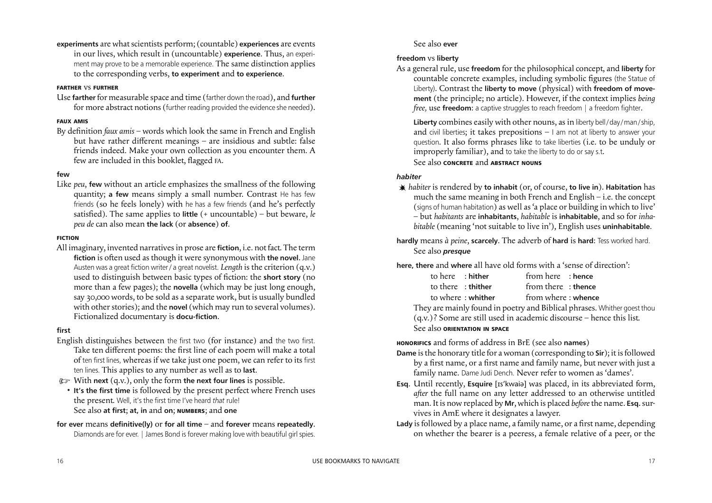### See also **ever**

As a general rule, use **freedom** for the philosophical concept, and **liberty** for countable concrete examples, including symbolic figures (the Statue of Liberty). Contrast the **liberty to move** (physical) with **freedom of movement** (the principle; no article). However, if the context implies *being free*, use **freedom**: a captive struggles to reach freedom | a freedom fighter.

### **freedom** vs **liberty**

Liberty combines easily with other nouns, as in liberty bell/day/man/ship, and civil liberties; it takes prepositions  $-1$  am not at liberty to answer your question. It also forms phrases like to take liberties (i.e. to be unduly or improperly familiar), and to take the liberty to do or say s.t. See also **CONCRETE** and **ABSTRACT NOUNS**

### *habiter*

**experiments** are what scientists perform; (countable) **experiences** are events in our lives, which result in (uncountable) **experience**. Thus, an experiment may prove to be a memorable experience. The same distinction applies to the corresponding verbs, **to experiment** and **to experience**.

- *habiter* is rendered by **to inhabit** (or, of course, **to live in**). **Habitation** has much the same meaning in both French and English – i.e. the concept (signs of human habitation) as well as 'a place or building in which to live' – but *habitants* are **inhabitants**, *habitable* is **inhabitable**, and so for *inhabitable* (meaning 'not suitable to live in'), English uses **uninhabitable**.
- **hardly** means *à peine*, **scarcely**. The adverb of **hard** is **hard**: Tess worked hard. See also *presque*
- **here, there** and **where** all have old forms with a 'sense of direction': to here : **hither** from here : **hence** to there : **thither** from there : **thence** to where : **whither** from where : **whence** They are mainly found in poetry and Biblical phrases. Whither goest thou
	- See also **ORIENTATION IN SPACE**
- **HONORIFICS** and forms of address in BrE (see also **names**) **Dame** is the honorary title for a woman (corresponding to **Sir**); it is followed by a first name, or a first name and family name, but never with just a family name. Dame Judi Dench. Never refer to women as 'dames'.
- **Esq**. Until recently, **Esquire** [Is'kwaia] was placed, in its abbreviated form, *aner* the full name on any letter addressed to an otherwise untitled man. It is now replaced by **Mr**, which is placed *before*the name. **Esq.**survives in AmE where it designates a lawyer.
- **Lady** is followed by a place name, a family name, or a first name, depending on whether the bearer is a peeress, a female relative of a peer, or the

(q.v.)? Some are still used in academic discourse – hence this list.

### **FARTHER** vs **FURTHER**

Use **farther**for measurable space and time (farther down the road), and **further** for more abstract notions (further reading provided the evidence she needed).

### **FAUX AMIS**

By definition *faux amis* – words which look the same in French and English but have rather diferent meanings – are insidious and subtle: false friends indeed. Make your own collection as you encounter them. A few are included in this booklet, flagged FA.

### **few**

Like *peu*, **few** without an article emphasizes the smallness of the following quantity; **a few** means simply a small number. Contrast He has few friends (so he feels lonely) with he has a few friends (and he's perfectly satisied). The same applies to **little** (+ uncountable) – but beware, *le peu de* can also mean **the lack** (or **absence**) **of**.

### **FICTION**

All imaginary, invented narrativesin prose are **fiction**, i.e. not fact. The term **fiction** is often used as though it were synonymous with **the novel**. Jane Austen was a great fiction writer / a great novelist. *Length* is the criterion (q.v.) used to distinguish between basic types of iction: the **short story** (no more than a few pages); the **novella** (which may be just long enough, say 30,000 words, to be sold as a separate work, but is usually bundled with other stories); and the **novel** (which may run to several volumes). Fictionalized documentary is **docu-fiction**.

### **first**

- English distinguishes between the first two (for instance) and the two first. Take ten different poems: the first line of each poem will make a total of ten first lines, whereas if we take just one poem, we can refer to its first ten lines. This applies to any number as well as to **last**.
- ) With **next** (q.v.), only the form **the next four lines** is possible.
	- **It's the first time** is followed by the present perfect where French uses the present. Well, it's the first time I've heard *that* rule! See also **at first**; **at, in** and **on**; **NUMBERS**; and **one**

### **for ever** means **definitive(ly)** or **for all time** – and **forever** means **repeatedly**. Diamonds are for ever. | James Bond is forever making love with beautiful girl spies.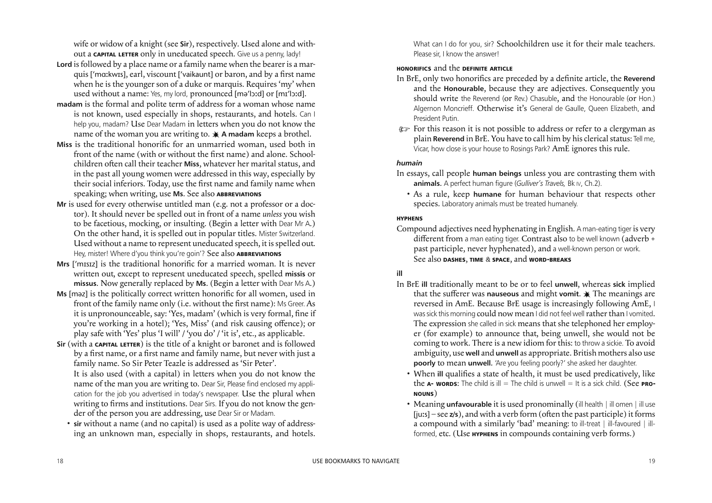What can I do for you, sir? Schoolchildren use it for their male teachers. Please sir, I know the answer!

### **HONORIFICS** and the **DEFINITE ARTICLE**

- In BrE, only two honorifics are preceded by a definite article, the **Reverend** and the **Honourable**, because they are adjectives. Consequently you should write the Reverend (or Rev.) Chasuble, and the Honourable (or Hon.) Algernon Moncrieff. Otherwise it's General de Gaulle, Queen Elizabeth, and President Putin.
- ) For this reason it is not possible to address or refer to a clergyman as plain **Reverend** in BrE. You have to call him by his clerical status: Tell me, Vicar, how close is your house to Rosings Park? AmE ignores this rule.

### *humain*

- In essays, call people **human beings** unless you are contrasting them with **animals**. A perfect human figure (*Gulliver's Travels,* Bk IV, Ch.2).
	- As a rule, keep **humane** for human behaviour that respects other species. Laboratory animals must be treated humanely.

### **HYPHENS**

Compound adjectives need hyphenating in English. A man-eating tiger is very different from a man eating tiger. Contrast also to be well known (adverb + past participle, never hyphenated), and a well-known person or work. See also **DASHES**, **TIME** & **SPACE**, and **WORD-BREAKS**

# **ill**

- In BrE **ill** traditionally meant to be or to feel **unwell**, whereas **sick** implied that the sufferer was **nauseous** and might **vomit**.  $\ast$  The meanings are reversed in AmE. Because BrE usage is increasingly following AmE, I was sick this morning could now mean I did not feel well rather than I vomited. The expression she called in sick means that she telephoned her employer (for example) to announce that, being unwell, she would not be coming to work. There is a new idiom for this: to throw a sickie. To avoid ambiguity, use **well** and **unwell** as appropriate. British mothers also use **poorly** to mean **unwell.** 'Are you feeling poorly?' she asked her daughter.
	- When ill qualifies a state of health, it must be used predicatively, like the  $A$ - words: The child is ill = The child is unwell = It is a sick child. (See **PRO-NOUNS**)
	- Meaning **unfavourable** it is used pronominally (ill health | ill omen | ill use  $[ius]$  – see  $z/s$ ), and with a verb form (often the past participle) it forms a compound with a similarly 'bad' meaning: to ill-treat | ill-favoured | illformed, etc. (Use **HYPHENS** in compounds containing verb forms.)

wife or widow of a knight (see **Sir**), respectively. Used alone and without a **CAPITAL LETTER** only in uneducated speech. Give us a penny, lady!

- **Lord** is followed by a place name or a family name when the bearer is a marquis ['mɑːkwɪs], earl, viscount ['vaikaunt] or baron, and by a first name when he is the younger son of a duke or marquis. Requires 'my' when used without a name: Yes, my lord, pronounced [mə'lɔːd] or [mɪ'lɔːd].
- **madam** is the formal and polite term of address for a woman whose name is not known, used especially in shops, restaurants, and hotels. Can I help you, madam? Use Dear Madam in letters when you do not know the name of the woman you are writing to. **A madam** keeps a brothel.
- Miss is the traditional honorific for an unmarried woman, used both in front of the name (with or without the first name) and alone. Schoolchildren often call their teacher Miss, whatever her marital status, and in the past all young women were addressed in this way, especially by their social inferiors. Today, use the first name and family name when speaking; when writing, use **Ms**. See also **ABBREVIATIONS**
- **Mr** is used for every otherwise untitled man (e.g. not a professor or a doctor). It should never be spelled out in front of a name *unless* you wish to be facetious, mocking, or insulting. (Begin a letter with Dear Mr A.) On the other hand, it is spelled out in popular titles. Mister Switzerland. Used without a name to represent uneducated speech, it is spelled out. Hey, mister! Where d'you think you're goin'? See also **ABBREVIATIONS**
- **Mrs** ['mɪsɪz] is the traditional honorific for a married woman. It is never written out, except to represent uneducated speech, spelled **missis** or **missus**. Now generally replaced by **Ms**. (Begin a letter with Dear Ms A.)
- **Ms** [məz] is the politically correct written honorific for all women, used in front of the family name only (i.e. without the first name): Ms Greer. As it is unpronounceable, say: 'Yes, madam' (which is very formal, fine if you're working in a hotel); 'Yes, Miss' (and risk causing ofence); or play safe with 'Yes' plus 'I will' / 'you do' / 'it is', etc., as applicable.
- **Sir** (with a **CAPITAL LETTER**) is the title of a knight or baronet and is followed by a first name, or a first name and family name, but never with just a family name. So Sir Peter Teazle is addressed as 'Sir Peter'. It is also used (with a capital) in letters when you do not know the name of the man you are writing to. Dear Sir, Please find enclosed my application for the job you advertised in today's newspaper. Use the plural when writing to firms and institutions. Dear Sirs. If you do not know the gender of the person you are addressing, use Dear Sir or Madam.
	- **sir** without a name (and no capital) is used as a polite way of addressing an unknown man, especially in shops, restaurants, and hotels.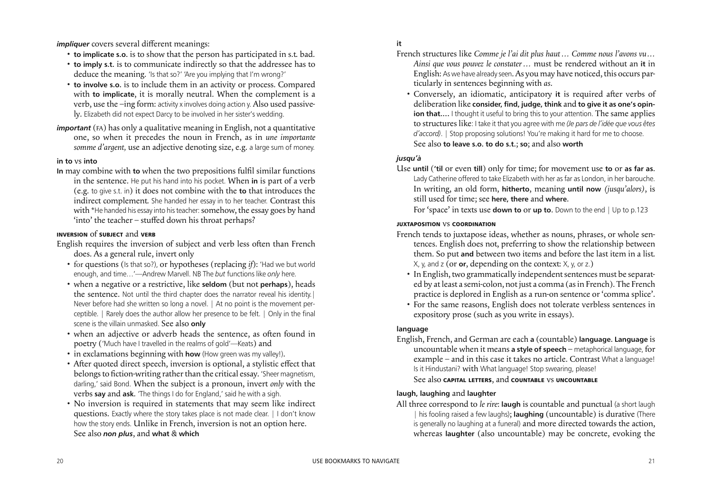**it**

- French structures like *Comme je l'ai dit plus haut… Comme nous l'avons vu… Ainsi que vous pouvez le constater…* must be rendered without an **it** in English: As we have already seen. As you may have noticed, this occurs particularly in sentences beginning with *as*.
	- Conversely, an idiomatic, anticipatory it is required after verbs of deliberation like **consider, find, judge, think** and **to give it as one's opinion that....** I thought it useful to bring this to your attention. The same applies to structures like: I take it that you agree with me *(Je pars de l'idée que vous êtes d'accord)*. | Stop proposing solutions! You're making it hard for me to choose. See also **to leave s.o. to do s.t.**; **so**; and also **worth**

### *jusqu'à*

Use **until** (**'til** or even **till**) only for time; for movement use **to** or **as far as**. Lady Catherine offered to take Elizabeth with her as far as London, in her barouche. In writing, an old form, **hitherto**, meaning **until now** *(jusqu'alors)*, is still used for time; see **here, there** and **where**. For 'space' in texts use **down to** or **up to**. Down to the end | Up to p.123

### **JUXTAPOSITION** vs **COORDINATION**

- French tends to juxtapose ideas, whether as nouns, phrases, or whole sentences. English does not, preferring to show the relationship between them. So put **and** between two items and before the last item in a list. X, y, and z (or **or**, depending on the context: X, y, or z.)
	- In English, two grammatically independent sentences must be separated by at least a semi-colon, not just a comma (as in French). The French practice is deplored in English as a run-on sentence or 'comma splice'.
	- For the same reasons, English does not tolerate verbless sentences in expository prose (such as you write in essays).

# **language**

English requires the inversion of subject and verb less often than French does. As a general rule, invert only

> English, French, and German are each **a** (countable) **language**. **Language** is uncountable when it means **a style of speech** – metaphorical language, for example – and in this case it takes no article. Contrast What a language! Is it Hindustani? with What language! Stop swearing, please! See also **CAPITAL LETTERS**, and **COUNTABLE** vs **UNCOUNTABLE**

# **laugh, laughing** and **laughter**

All three correspond to *le rire*: **laugh** is countable and punctual (a short laugh | his fooling raised a few laughs); **laughing** (uncountable) is durative (There is generally no laughing at a funeral) and more directed towards the action, whereas **laughter** (also uncountable) may be concrete, evoking the

- for questions (Is that so?), or hypotheses (replacing *if*): 'Had we but world enough, and time…'—Andrew Marvell. NB The *but* functions like *only* here.
- when a negative or a restrictive, like **seldom** (but not **perhaps**), heads the sentence. Not until the third chapter does the narrator reveal his identity.| Never before had she written so long a novel. | At no point is the movement perceptible. | Rarely does the author allow her presence to be felt. | Only in the final scene is the villain unmasked. See also **only**
- when an adjective or adverb heads the sentence, as often found in poetry ('Much have I travelled in the realms of gold'—Keats) and
- in exclamations beginning with **how** (How green was my valley!).
- After quoted direct speech, inversion is optional, a stylistic effect that belongs to fiction-writing rather than the critical essay. 'Sheer magnetism, darling,' said Bond. When the subject is a pronoun, invert *only* with the verbs **say** and **ask**. 'The things I do for England,' said he with a sigh.
- No inversion is required in statements that may seem like indirect questions. Exactly where the story takes place is not made clear. | I don't know how the story ends. Unlike in French, inversion is not an option here. See also *non plus*, and **what** & **which**

*impliquer* covers several different meanings:

- **to implicate s.o.** is to show that the person has participated in s.t. bad.
- **to imply s.t.** is to communicate indirectly so that the addressee has to deduce the meaning. 'Is that so?' 'Are you implying that I'm wrong?'
- **to involve s.o.** is to include them in an activity or process. Compared with **to implicate**, it is morally neutral. When the complement is a verb, use the –ing form: activity x involves doing action y. Also used passively. Elizabeth did not expect Darcy to be involved in her sister's wedding.
- *important* (FA) has only a qualitative meaning in English, not a quantitative one, so when it precedes the noun in French, as in *une importante somme d'argent,* use an adjective denoting size, e.g. a large sum of money.

### **in to** vs **into**

**In** may combine with **to** when the two prepositions fulil similar functions in the sentence. He put his hand into his pocket. When **in** is part of a verb (e.g. to give s.t. in) it does not combine with the **to** that introduces the indirect complement. She handed her essay in to her teacher. Contrast this with \*He handed his essay into his teacher: somehow, the essay goes by hand 'into' the teacher – stufed down his throat perhaps?

### **INVERSION** of **SUBJECT** and **VERB**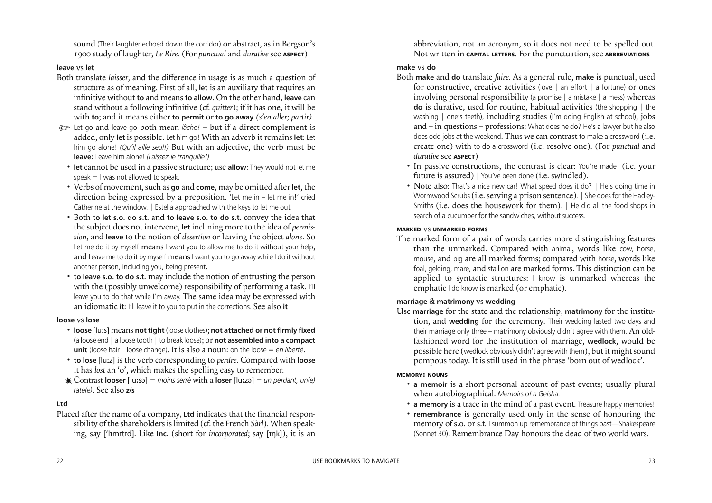abbreviation, not an acronym, so it does not need to be spelled out. Not written in **CAPITAL LETTERS**. For the punctuation, see **ABBREVIATIONS**

### **make** vs **do**

- Both **make** and **do** translate *faire*. As a general rule, **make** is punctual, used for constructive, creative activities (love | an effort | a fortune) or ones involving personal responsibility (a promise | a mistake | a mess) whereas **do** is durative, used for routine, habitual activities (the shopping | the washing | one's teeth), including studies (I'm doing English at school), jobs and – in questions – professions: What does he do? He's a lawyer but he also does odd jobs at the weekend. Thus we can contrast to make a crossword (i.e. create one) with to do a crossword (i.e. resolve one). (For *punctual* and *durative* see **ASPECT**)
	- In passive constructions, the contrast is clear: You're made! (i.e. your future is assured) | You've been done (i.e. swindled).
	- Note also: That's a nice new car! What speed does it do? | He's doing time in Wormwood Scrubs (i.e. serving a prison sentence). | She does for the Hadley-Smiths (i.e. does the housework for them). I He did all the food shops in search of a cucumber for the sandwiches, without success.

### **MARKED** vs **UNMARKED FORMS**

The marked form of a pair of words carries more distinguishing features than the unmarked. Compared with animal, words like cow, horse, mouse, and pig are all marked forms; compared with horse, words like foal, gelding, mare, and stallion are marked forms. This distinction can be applied to syntactic structures: I know is unmarked whereas the emphatic I do know is marked (or emphatic).

### **marriage** & **matrimony** vs **wedding**

Use **marriage** for the state and the relationship, **matrimony** for the institution, and **wedding** for the ceremony. Their wedding lasted two days and their marriage only three – matrimony obviously didn't agree with them. An oldfashioned word for the institution of marriage, **wedlock**, would be possible here (wedlock obviously didn't agree with them), but it might sound pompous today. It is still used in the phrase 'born out of wedlock'.

### **MEMORY: NOUNS**

- **a memoir** is a short personal account of past events; usually plural when autobiographical. *Memoirs of a Geisha.*
- **a memory** is a trace in the mind of a past event. Treasure happy memories!
- **remembrance** is generally used only in the sense of honouring the memory of s.o. or s.t. I summon up remembrance of things past-Shakespeare (Sonnet 30). Remembrance Day honours the dead of two world wars.

Placed after the name of a company, Ltd indicates that the financial responsibility of the shareholdersislimited (cf. the French *Sàrl*). When speaking, say [ lmtd]. Like **Inc.** (short for *incorporated*; say [ŋk]), it is an

sound (Their laughter echoed down the corridor) or abstract, as in Bergson's 1900 study of laughter, *Le Rire.* (For *punctual* and *durative* see **ASPECT**)

### **leave** vs **let**

- Both translate *laisser,* and the diference in usage is as much a question of structure as of meaning. First of all, **let** is an auxiliary that requires an infinitive without **to** and means **to** allow. On the other hand, leave can stand without a following infinitive (cf. *quitter*); if it has one, it will be with **to**; and it means either **to permit** or **to go away** *(s'en aller; partir)*.
- ) Let go and leave go both mean *lâche!* but if a direct complement is added, only **let** is possible. Let him go! With an adverb it remains **let**: Let him go alone! *(Qu'il aille seul!)* But with an adjective, the verb must be **leave**: Leave him alone! *(Laissez-le tranquille!)*
	- **let** cannot be used in a passive structure; use **allow**: They would not let me  $speak = I$  was not allowed to speak.
	- Verbs of movement, such as **go** and **come**, may be omitted after let, the direction being expressed by a preposition. 'Let me in – let me in!' cried Catherine at the window. | Estella approached with the keys to let me out.
	- Both **to let s.o. do s.t.** and **to leave s.o. to do s.t.** convey the idea that the subject does not intervene, **let** inclining more to the idea of *permission*, and **leave** to the notion of *desertion* or leaving the object *alone*. So Let me do it by myself means I want you to allow me to do it without your help, and Leave me to do it by myself means I want you to go away while I do it without another person, including you, being present.
	- **to leave s.o. to do s.t.** may include the notion of entrusting the person with the (possibly unwelcome) responsibility of performing a task. I'll leave you to do that while I'm away. The same idea may be expressed with an idiomatic **it**: I'll leave it to you to put in the corrections. See also **it**

### **loose** vs **lose**

- **loose** [lus] means **not tight** (loose clothes); **not attached or not firmly fixed** (a loose end | a loose tooth | to break loose); or **not assembled into a compact unit** (loose hair | loose change). It is also a noun: on the loose = *en liberté*.
- **to lose** [luz] is the verb corresponding to *perdre.* Compared with **loose** it has *lost* an 'o', which makes the spelling easy to remember.
- Contrast **looser** [lusə] = *moins serré* with a **loser** [luzə] = *un perdant, un(e) raté(e)*. See also **z/s**

### **Ltd**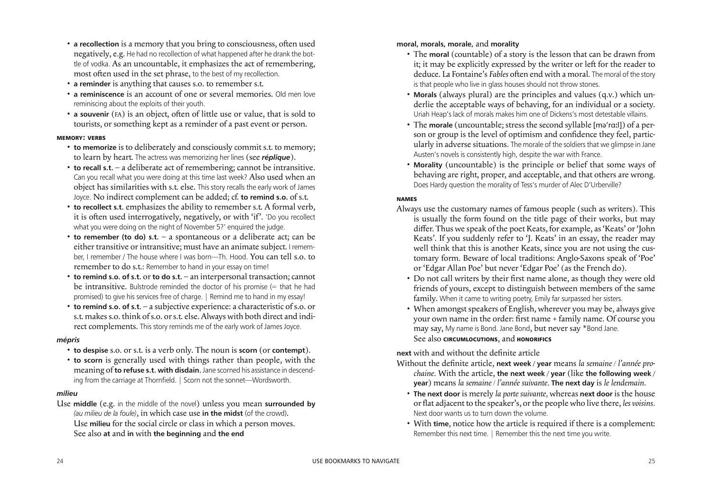### **moral, morals, morale,** and **morality**

- The **moral** (countable) of a story is the lesson that can be drawn from it; it may be explicitly expressed by the writer or left for the reader to deduce. La Fontaine's *Fables* often end with a moral. The moral of the story is that people who live in glass houses should not throw stones.
- **Morals** (always plural) are the principles and values (q.v.) which underlie the acceptable ways of behaving, for an individual or a society. Uriah Heap's lack of morals makes him one of Dickens's most detestable villains.
- The **morale** (uncountable; stress the second syllable [mə'rɑːl]) of a person or group is the level of optimism and confidence they feel, particularly in adverse situations. The morale of the soldiers that we glimpse in Jane Austen's novels is consistently high, despite the war with France.
	- **Morality** (uncountable) is the principle or belief that some ways of behaving are right, proper, and acceptable, and that others are wrong. Does Hardy question the morality of Tess's murder of Alec D'Urberville?

### **NAMES**

- Always use the customary names of famous people (such as writers). This is usually the form found on the title page of their works, but may difer. Thus we speak of the poet Keats, for example, as'Keats' or'John Keats'. If you suddenly refer to 'J. Keats' in an essay, the reader may well think that this is another Keats, since you are not using the customary form. Beware of local traditions: Anglo-Saxons speak of 'Poe' or 'Edgar Allan Poe' but never 'Edgar Poe' (as the French do).
	- Do not call writers by their first name alone, as though they were old friends of yours, except to distinguish between members of the same family. When it came to writing poetry, Emily far surpassed her sisters.
	- When amongst speakers of English, wherever you may be, always give your own name in the order: first name + family name. Of course you may say, My name is Bond. Jane Bond, but never say \*Bond Jane. See also **CIRCUMLOCUTIONS**, and **HONORIFICS**

**next** with and without the definite article Without the definite article, next week / year means *la semaine* / *l'année pro-*

- a recollection is a memory that you bring to consciousness, often used negatively, e.g. He had no recollection of what happened after he drank the bottle of vodka. As an uncountable, it emphasizes the act of remembering, most often used in the set phrase, to the best of my recollection.
- **a reminder** is anything that causes s.o. to remember s.t.
- **a reminiscence** is an account of one or several memories. Old men love reminiscing about the exploits of their youth.
- **a** souvenir (FA) is an object, often of little use or value, that is sold to tourists, or something kept as a reminder of a past event or person.

*chaine.* With the article, **the next week** / **year** (like **the following week** /

- **year**) means *la semaine / l'année suivante.* **The next day** is *le lendemain.*
- **The next door** is merely *la porte suivante,* whereas **next door** is the house or lat adjacent to the speaker's, orthe people who live there, *les voisins.* Next door wants us to turn down the volume.
- With **time**, notice how the article is required if there is a complement: Remember this next time. | Remember this the next time you write.

### **MEMORY: VERBS**

- **to memorize** is to deliberately and consciously commit s.t. to memory; to learn by heart. The actress was memorizing her lines (see *réplique*).
- **to recall s.t.** a deliberate act of remembering; cannot be intransitive. Can you recall what you were doing at this time last week? Also used when an object has similarities with s.t. else. This story recalls the early work of James Joyce. No indirect complement can be added; cf. **to remind s.o.** of s.t.
- **to recollect s.t.** emphasizes the ability to remember s.t. A formal verb, it is often used interrogatively, negatively, or with 'if'. 'Do you recollect what you were doing on the night of November 5?' enquired the judge.
- **to remember (to do) s.t.** a spontaneous or a deliberate act; can be either transitive or intransitive; must have an animate subject. I remember, I remember / The house where I was born—Th. Hood. You can tell s.o. to remember to do s.t.: Remember to hand in your essay on time!
- **to remind s.o. of s.t.** or **to do s.t.** an interpersonal transaction;cannot be intransitive. Bulstrode reminded the doctor of his promise  $(=$  that he had promised) to give his services free of charge. | Remind me to hand in my essay!
- **to remind s.o. of s.t.** a subjective experience: a characteristic of s.o. or s.t. makes s.o. think of s.o. or s.t. else. Always with both direct and indirect complements. This story reminds me of the early work of James Joyce.

### *mépris*

- **to despise** s.o. or s.t. is a verb only. The noun is **scorn** (or **contempt**).
- **to scorn** is generally used with things rather than people, with the meaning of **to refuse s.t. with disdain**. Jane scorned his assistance in descending from the carriage at Thornfield. | Scorn not the sonnet—Wordsworth.

### *milieu*

Use **middle** (e.g. in the middle of the novel) unless you mean **surrounded by** *(au milieu de la foule)*, in which case use **in the midst** (of the crowd). Use **milieu** for the social circle or class in which a person moves. See also **at** and **in** with **the beginning** and **the end**

24 USE BOOKMARKS TO NAVIGATE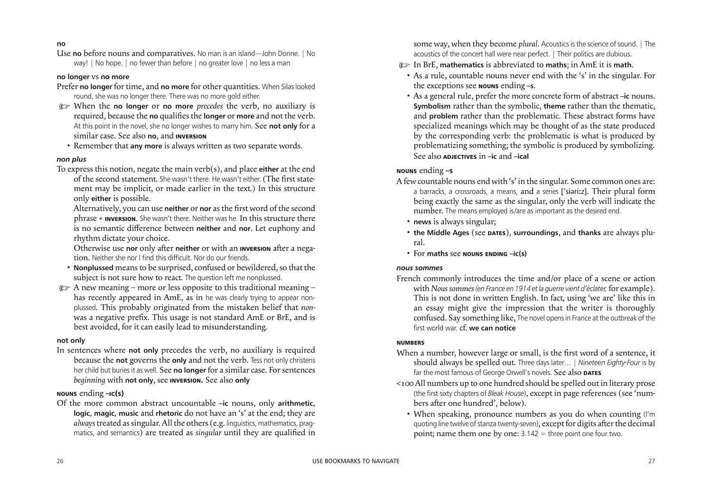some way, when they become *plural*. Acoustics is the science of sound. | The acoustics of the concert hall were near perfect. | Their politics are dubious. ) In BrE, **mathematics** is abbreviated to **maths**; in AmE it is **math**. • As a rule, countable nouns never end with the 's' in the singular. For

- 
- the exceptions see **NOUNS** ending **–s**.
- As a general rule, prefer the more concrete form of abstract **–ic** nouns. **Symbolism** rather than the symbolic, **theme** rather than the thematic, and **problem** rather than the problematic. These abstract forms have specialized meanings which may be thought of as the state produced by the corresponding verb: the problematic is what is produced by problematizing something; the symbolic is produced by symbolizing. See also **ADJECTIVES** in **–ic** and **–ical**

### **NOUNS** ending **–S**

- A few countable nouns end with 's' in the singular. Some common ones are: a barracks, a crossroads, a means, and a series ['siəriːz]. Their plural form being exactly the same as the singular, only the verb will indicate the number. The means employed is/are as important as the desired end.
	- **news** is always singular;
	- **the Middle Ages** (see **DATES**), **surroundings**, and **thanks** are always plural.
	- For **maths** see **NOUNS ENDING –ic(s)**

### *nous sommes*

French commonly introduces the time and/or place of a scene or action with *Noussommes(en France en 1914 etla guerre vient d'éclater,* for example). This is not done in written English. In fact, using 'we are' like this in an essay might give the impression that the writer is thoroughly confused. Say something like, The novel opensin France at the outbreak of the first world war. cf. **we can notice**

### **NUMBERS**

- When a number, however large or small, is the first word of a sentence, it should always be spelled out. Three days later… | *Nineteen Eighty-Four* is by far the most famous of George Orwell's novels. See also **DATES**
- <100 All numbers up to one hundred should be spelled out in literary prose (the first sixty chapters of *Bleak House*), except in page references (see 'numbers after one hundred', below).
	- When speaking, pronounce numbers as you do when counting (I'm quoting line twelve of stanza twenty-seven), except for digits after the decimal point; name them one by one:  $3.142$  = three point one four two.

Alternatively, you can use **neither** or **nor** as the first word of the second phrase + **INVERSION**. She wasn't there. Neither was he. In this structure there is no semantic diference between **neither** and **nor**. Let euphony and rhythm dictate your choice.

Otherwise use **nor** only after **neither** or with an **INVERSION** after a negation. Neither she nor I find this difficult. Nor do our friends.

- **Nonplussed** means to be surprised, confused or bewildered, so that the subject is not sure how to react. The question left me nonplussed.
- $\circ$  A new meaning more or less opposite to this traditional meaning has recently appeared in AmE, as in he was clearly trying to appear nonplussed. This probably originated from the mistaken belief that *non*was a negative prefix. This usage is not standard AmE or BrE, and is best avoided, for it can easily lead to misunderstanding.

Of the more common abstract uncountable **–ic** nouns, only **arithmetic, logic, magic, music** and **rhetoric** do not have an 's' at the end; they are *always*treated assingular. All the others (e.g. linguistics, mathematics, pragmatics, and semantics) are treated as *singular* until they are qualified in

### **no**

Use **no** before nouns and comparatives. No man is an island—John Donne. | No way! | No hope. | no fewer than before | no greater love | no less a man

### **no longer** vs **no more**

Prefer **no longer** for time, and **no more** for other quantities. When Silas looked round, she was no longer there. There was no more gold either.

- ) When the **no longer** or **no more** *precedes* the verb, no auxiliary is required, because the **no** qualiies the **longer** or **more** and not the verb. At this point in the novel, she no longer wishes to marry him. See **not only** for a similar case. See also **no**, and **INVERSION**
	- Remember that **any more** is always written as two separate words.

### *non plus*

To express this notion, negate the main verb(s), and place **either** at the end of the second statement. She wasn't there. He wasn't either. (The first statement may be implicit, or made earlier in the text.) In this structure only **either** is possible.

### **not only**

In sentences where **not only** precedes the verb, no auxiliary is required because the **not** governs the **only** and not the verb. Tess not only christens her child but buries it as well. See no longer for a similar case. For sentences *beginning* with **not only**, see **INVERSION.** See also **only**

### **NOUNS** ending **–IC(S)**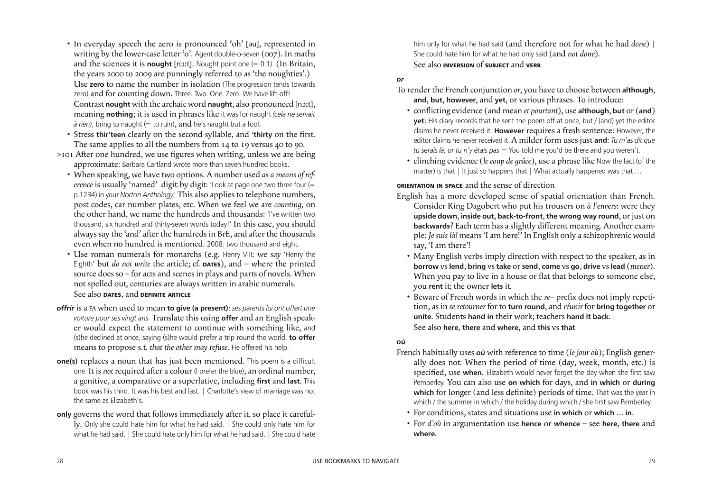him only for what he had said (and therefore not for what he had *done*) | She could hate him for what he had only said (and *not done*). See also **INVERSION** of **SUBJECT** and **VERB**

### *or*

- To render the French conjunction *or*, you have to choose between **although**, **and**, **but**, **however**, and **yet**, or various phrases. To introduce:
	- conlicting evidence (and mean *et pourtant*), use **although**, **but** or (**and**) **yet**: His diary records that he sent the poem off at once, but / (and) yet the editor claims he never received it. **However** requires a fresh sentence: However, the editor claims he never received it. A milder form uses just **and**: *Tu m'as dit que tu serais là, or tu n'y étais pas* = You told me you'd be there and you weren't.
	- clinching evidence (*le coup de grâce*), use a phrase like Now the fact (of the matter) is that | It just so happens that | What actually happened was that ...

**ORIENTATION IN SPACE** and the sense of direction

English has a more developed sense of spatial orientation than French.

- Consider King Dagobert who put his trousers on *à l'envers*: were they **upside down**, **inside out**, **back-to-front**, **the wrong way round**, orjust on **backwards**? Each term has a slightly diferent meaning. Another example: *Je suis là!* means 'I am here!' In English only a schizophrenic would say, 'I am there'!
- Many English verbs imply direction with respect to the speaker, as in **borrow** vs **lend**, **bring** vs **take** or **send**, **come** vs **go**, **drive** vs **lead** (*mener*). When you pay to live in a house or flat that belongs to someone else, you **rent** it; the owner **lets** it.
- Beware of French words in which the *re* prefix does not imply repetition, as in *se retourner* for to **turn round**, and *réunir* for **bring together** or **unite**. Students **hand in** their work; teachers **hand it back**. See also **here, there** and **where**, and **this** vs **that**

### *où*

- French habitually uses *où* with reference to time (*le jour où*); English generally does not. When the period of time (day, week, month, etc.) is specified, use when. Elizabeth would never forget the day when she first saw Pemberley. You can also use **on which** for days, and **in which** or **during** which for longer (and less definite) periods of time. That was the year in which / the summer in which / the holiday during which / she first saw Pemberley.
	- For conditions, states and situations use **in which** or **which … in**.
	- For *d'où* in argumentation use **hence** or **whence** see **here, there** and **where**.
- In everyday speech the zero is pronounced 'oh' [əu], represented in writing by the lower-case letter 'o'. Agent double-o-seven (007). In maths and the sciences it is **nought** [nɔːt]. Nought point one  $(= 0.1)$ . (In Britain, the years 2000 to 2009 are punningly referred to as 'the noughties'.) Use **zero** to name the number in isolation (The progression tends towards zero) and for counting down. Three. Two. One. Zero. We have lift-off! Contrast **nought** with the archaic word **naught**, also pronounced [nɔt], meaning **nothing**; it is used in phrases like it was for naught *(cela ne servait à rien)*, bring to naught (= to ruin), and he's naught but a fool.
- Stress **thir'teen** clearly on the second syllable, and 'thirty on the first. The same applies to all the numbers from 14 to 19 versus 40 to 90.
- $>$ 101 After one hundred, we use figures when writing, unless we are being approximate: Barbara Cartland wrote more than seven hundred books.
	- When speaking, we have two options. A number used *as a means of reference* is usually 'named' digit by digit: 'Look at page one two three four (= p.1234) in your *Norton Anthology.*' This also applies to telephone numbers, post codes, car number plates, etc. When we feel we are *counting,* on the other hand, we name the hundreds and thousands: 'I've written two thousand, six hundred and thirty-seven words today!' In this case, you should always say the 'and' after the hundreds in BrE, and after the thousands even when no hundred is mentioned. 2008: two thousand and eight.
	- Use roman numerals for monarchs (e.g. Henry VIII: we *say* 'Henry the Eighth' but *do not write* the article; cf. **DATES**), and – where the printed source does so – for acts and scenes in plays and parts of novels. When not spelled out, centuries are always written in arabic numerals. See also **DATES**, and **DEFINITE ARTICLE**
- *offrir* is a FA when used to mean **to give (a present)**: *ses parents lui ont offert une voiture pour ses vingt ans.* Translate this using **offer** and an English speaker would expect the statement to continue with something like, and (s)he declined at once, saying (s)he would prefer a trip round the world. **to offer** means to propose s.t. *that the other may refuse.* He offered his help.
- **one(s)** replaces a noun that has just been mentioned. This poem is a difficult one. It is *not* required after a colour (I prefer the blue), an ordinal number, a genitive, a comparative or a superlative, including **first** and **last**. This book was his third. It was his best and last. | Charlotte's view of marriage was not the same as Elizabeth's.
- **only** governs the word that follows immediately after it, so place it carefully. Only she could hate him for what he had said. | She could only hate him for what he had said. | She could hate only him for what he had said. | She could hate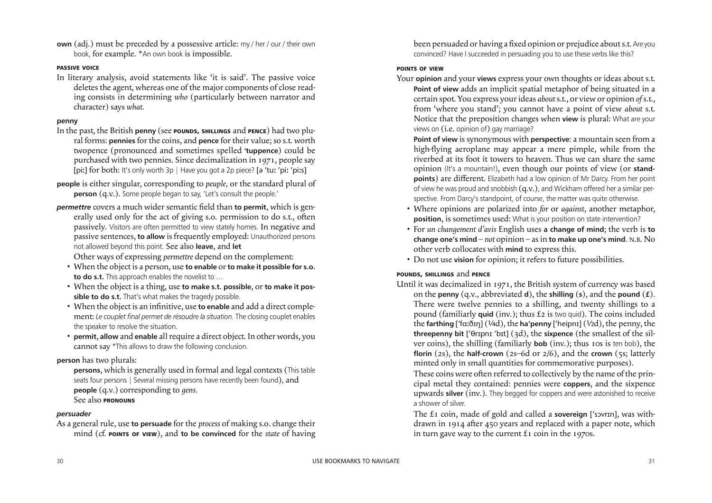been persuaded or having a fixed opinion or prejudice about s.t. Are you convinced? Have I succeeded in persuading you to use these verbs like this?

### **POINTS OF VIEW**

- Your **opinion** and your **views** express your own thoughts or ideas about s.t. **Point of view** adds an implicit spatial metaphor of being situated in a certain spot. You express yourideas *about*s.t., or view or opinion *of*s.t., from 'where you stand'; you cannot have a point of view *about* s.t. Notice that the preposition changes when **view** is plural: What are your views on (i.e. opinion of) gay marriage? **Point of view** is synonymous with **perspective**: a mountain seen from a high-flying aeroplane may appear a mere pimple, while from the riverbed at its foot it towers to heaven. Thus we can share the same opinion (It's a mountain!), even though our points of view (or **standpoints**) are different. Elizabeth had a low opinion of Mr Darcy. From her point of view he was proud and snobbish  $(q.v.)$ , and Wickham offered her a similar perspective. From Darcy's standpoint, of course, the matter was quite otherwise.
	- Where opinions are polarized into *for* or *against*, another metaphor, **position**, is sometimes used: What is your position on state intervention?
	- For *un changement d'avis* English uses **a change of mind**; the verb is **to change one's mind** – *not* opinion – asin **to make up one's mind**. N.B. No other verb collocates with **mind** to express this.
	- Do not use **vision** for opinion; it refers to future possibilities.

 The £1 coin, made of gold and called a **sovereign** [ sɔvrn], was withdrawn in 1914 after 450 years and replaced with a paper note, which in turn gave way to the current  $\mathfrak{L}$  t coin in the 1970s.

**own** (adj.) must be preceded by a possessive article: my / her / our / their own book, for example. \*An own book is impossible.

# **POUNDS, SHILLINGS** and **PENCE**

Until it was decimalized in 1971, the British system of currency was based on the **penny** (q.v., abbreviated **d**), the **shilling** (**s**), and the **pound** (**£**). There were twelve pennies to a shilling, and twenty shillings to a pound (familiarly **quid** (inv.); thus £2 is two quid). The coins included the **farthing** ['fɑːðɪŋ] (¼d), the **ha'penny** ['heipnɪ] (¼d), the penny, the **threepenny bit** ['θrɪpnɪ 'bɪt] (3d), the **sixpence** (the smallest of the silver coins), the shilling (familiarly **bob** (inv.); thus 10s is ten bob), the **florin** (2s), the **half-crown** (2s–6d or 2/6), and the **crown** (5s; latterly minted only in small quantities for commemorative purposes). These coins were often referred to collectively by the name of the principal metal they contained: pennies were **coppers**, and the sixpence upwards **silver** (inv.). They begged for coppers and were astonished to receive a shower of silver.

### **PASSIVE VOICE**

In literary analysis, avoid statements like 'it is said'. The passive voice deletes the agent, whereas one of the major components of close reading consists in determining *who* (particularly between narrator and character) says *what.*

### **penny**

- In the past, the British **penny** (see **POUNDS, SHILLINGS** and **PENCE**) had two plural forms: **pennies** for the coins, and **pence** for their value; so s.t. worth twopence (pronounced and sometimes spelled **'tuppence**) could be purchased with two pennies. Since decimalization in 1971, people say [piː] for both: It's only worth 3p | Have you got a 2p piece? [a 'tuː 'piː 'piːs]
- **people** is either singular, corresponding to *peuple,* or the standard plural of **person** (q.v.). Some people began to say, 'Let's consult the people.'
- *permettre* covers a much wider semantic field than **to** permit, which is generally used only for the act of giving s.o. permission to do s.t., often passively. Visitors are often permitted to view stately homes. In negative and passive sentences, **to allow** is frequently employed: Unauthorized persons not allowed beyond this point. See also **leave**, and **let** Other ways of expressing *permettre* depend on the complement:
	- When the object is a person, use **to enable** or **to make it possible for s.o. to do s.t.** This approach enables the novelist to …
	- When the object is a thing, use **to make s.t. possible**, or **to make it possible to do s.t.** That's what makes the tragedy possible.
	- When the object is an infinitive, use to enable and add a direct complement: *Le couplet final permet de résoudre la situation.* The closing couplet enables the speaker to resolve the situation.
	- **permit**, **allow** and **enable** allrequire a direct object. In other words, you cannot say \*This allows to draw the following conclusion.

# **person** has two plurals:

 **persons**, which is generally used in formal and legal contexts (This table seats four persons | Several missing persons have recently been found)*,* and **people** (q.v.) corresponding to *gens.* See also **PRONOUNS**

### *persuader*

As a general rule, use **to persuade** for the *process* of making s.o. change their mind (cf. **POINTS OF VIEW**), and **to be convinced** for the *state* of having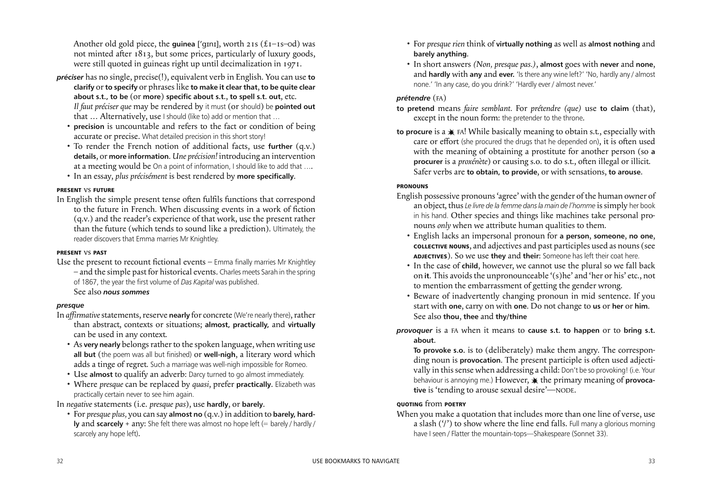- For *presque rien* think of **virtually nothing** as well as **almost nothing** and **barely anything**.
- In short answers *(Non, presque pas.)*, **almost** goes with **never** and **none**, and **hardly** with **any** and **ever.** 'Is there any wine left?' 'No, hardly any / almost none.' 'In any case, do you drink?' 'Hardly ever / almost never.'

# *prétendre* (FA)

- **to pretend** means *faire semblant.* For *prétendre (que)* use **to claim** (that), except in the noun form: the pretender to the throne.
- to procure is a  $\ast$  FA! While basically meaning to obtain s.t., especially with care or effort (she procured the drugs that he depended on), it is often used with the meaning of obtaining a prostitute for another person (so **a procurer** is a *proxénète*) or causing s.o. to do s.t., often illegal or illicit. Safer verbs are **to obtain, to provide**, or with sensations, **to arouse**.

# **PRONOUNS**

Another old gold piece, the **guinea** ['gɪnɪ], worth 21s (£1–1s–0d) was not minted after  $1813$ , but some prices, particularly of luxury goods, were still quoted in guineas right up until decimalization in 1971.

- English possessive pronouns'agree' with the gender of the human owner of an object, thus *Le livre de la femme dansla main de l'homme* issimply her book in his hand. Other species and things like machines take personal pronouns *only* when we attribute human qualities to them.
	- English lacks an impersonal pronoun for **a person**, **someone**, **no one**, **COLLECTIVE NOUNS**, and adjectives and past participles used as nouns (see **ADJECTIVES**). So we use **they** and **their**: Someone has left their coat here.
	- In the case of **child**, however, we cannot use the plural so we fall back on **it**. This avoidsthe unpronounceable '(s)he' and 'her or his' etc., not to mention the embarrassment of getting the gender wrong.
	- Beware of inadvertently changing pronoun in mid sentence. If you start with **one**, carry on with **one**. Do not change to **us** or **her** or **him**. See also **thou**, **thee** and **thy/thine**
- *provoquer* is a FA when it means to **cause s.t. to happen** or to **bring s.t. about**.

In English the simple present tense often fulfils functions that correspond to the future in French. When discussing events in a work of fiction (q.v.) and the reader's experience of that work, use the present rather than the future (which tends to sound like a prediction). Ultimately, the reader discovers that Emma marries Mr Knightley.

> **To provoke s.o.** is to (deliberately) make them angry. The corresponding noun is **provocation**. The present participle is often used adjectivally in thissense when addressing a child: Don't be so provoking! (i.e. Your behaviour is annoying me.) However,  $*$  the primary meaning of **provocative** is 'tending to arouse sexual desire'—NODE.

Use the present to recount fictional events  $-$  Emma finally marries Mr Knightley – and the simple past for historical events. Charles meets Sarah in the spring of 1867, the year the first volume of *Das Kapital* was published.

# **QUOTING** from **POETRY**

When you make a quotation that includes more than one line of verse, use a slash  $('')$  to show where the line end falls. Full many a glorious morning have I seen / Flatter the mountain-tops—Shakespeare (Sonnet 33).

- In *affirmative* statements, reserve **nearly** for concrete (We're nearly there), rather than abstract, contexts or situations; **almost, practically,** and **virtually** can be used in any context.
	- As very nearly belongs rather to the spoken language, when writing use **all but** (the poem was all but finished) or **well-nigh**, a literary word which adds a tinge of regret. Such a marriage was well-nigh impossible for Romeo.
	- Use **almost** to qualify an adverb: Darcy turned to go almost immediately.
	- Where *presque* can be replaced by *quasi*, prefer **practically**. Elizabeth was practically certain never to see him again.
- *préciser* has no single, precise(!), equivalent verb in English. You can use **to clarify** or **to specify** or phraseslike **to make it clear that**, **to be quite clear about s.t., to be** (or **more**) **specific about s.t.**, **to spell s.t. out**, etc. *Il faut préciser que* may be rendered by it must (or should) be **pointed out** that … Alternatively, use I should (like to) add or mention that …
	- **precision** is uncountable and refers to the fact or condition of being accurate or precise. What detailed precision in this short story!
	- To render the French notion of additional facts, use **further** (q.v.) **details**, or **more information**. *Une précision!* introducing an intervention at a meeting would be On a point of information, I should like to add that ....
	- In an essay, *plus précisément* is best rendered by **more specifically**.

### **PRESENT** vs **FUTURE**

### **PRESENT** vs **PAST**

# See also *nous sommes*

# *presque*

In *negative* statements (i.e. *presque pas*), use **hardly**, or **barely**.

 • For *presque plus,* you can say **almost no** (q.v.) in addition to **barely, hardly** and **scarcely** + any: She felt there was almost no hope left (= barely / hardly / scarcely any hope left).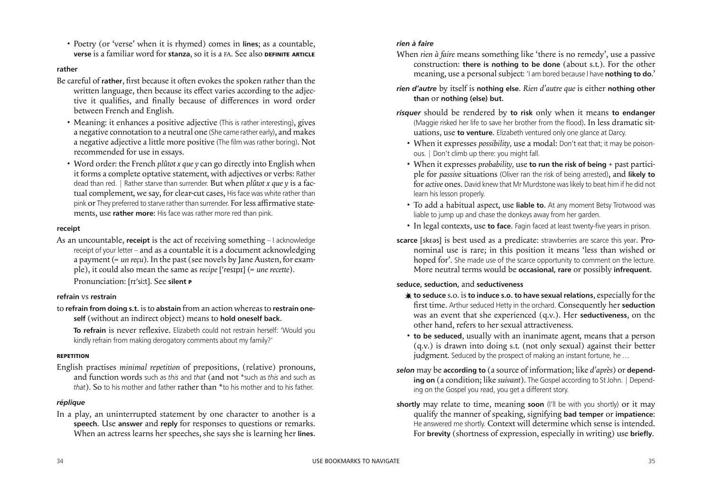### *rien à faire*

When *rien à faire* means something like 'there is no remedy', use a passive construction: **there is nothing to be done** (about s.t.). For the other meaning, use a personal subject: 'I am bored because I have **nothing to do**.'

# *rien d'autre* by itself is **nothing else**. *Rien d'autre que* is either **nothing other than** or **nothing (else) but**.

- *risquer* should be rendered by **to risk** only when it means **to endanger** (Maggie risked her life to save her brother from the flood). In less dramatic situations, use **to venture**. Elizabeth ventured only one glance at Darcy.
	- When it expresses *possibility,* use a modal: Don't eat that; it may be poisonous. | Don't climb up there: you might fall.
	- When it expresses *probability,* use **to run the risk of being** + past participle for *passive* situations (Oliver ran the risk of being arrested), and **likely to** for *active* ones. David knew that Mr Murdstone waslikely to beat him if he did not learn his lesson properly.
	- To add a habitual aspect, use **liable to**. At any moment Betsy Trotwood was liable to jump up and chase the donkeys away from her garden.
	- In legal contexts, use **to face**. Fagin faced at least twenty-five years in prison.
- **scarce** [skεəs] is best used as a predicate: strawberries are scarce this year. Pronominal use is rare; in this position it means 'less than wished or hoped for'. She made use of the scarce opportunity to comment on the lecture. More neutral terms would be **occasional, rare** or possibly **infrequent**.

Be careful of **rather**, first because it often evokes the spoken rather than the written language, then because its effect varies according to the adjective it qualifies, and finally because of differences in word order between French and English.

### **seduce, seduction,** and **seductiveness**

- Meaning: it enhances a positive adjective (This is rather interesting), gives a negative connotation to a neutral one (She came rather early), and makes a negative adjective a little more positive (The film was rather boring). Not recommended for use in essays.
- Word order: the French *plûtot x que y* can go directly into English when it forms a complete optative statement, with adjectives or verbs: Rather dead than red. | Rather starve than surrender. But when *plûtot x que y* is a factual complement, we say, for clear-cut cases, His face was white rather than pink or They preferred to starve rather than surrender. For less affirmative statements, use **rather more**: His face was rather more red than pink.

As an uncountable, **receipt** is the act of receiving something – I acknowledge receipt of your letter – and as a countable it is a document acknowledging a payment (= *un reçu*). In the past (see novels by Jane Austen, for example), it could also mean the same as *recipe* ['resɪpɪ] (= *une recette*).

- **to seduce** s.o. is **to induce s.o. to have sexual relations**, especially forthe first time. Arthur seduced Hetty in the orchard. Consequently her **seduction** was an event that she experienced (q.v.). Her **seductiveness**, on the other hand, refers to her sexual attractiveness.
- **to be seduced**, usually with an inanimate agent, means that a person (q.v.) is drawn into doing s.t. (not only sexual) against their better judgment. Seduced by the prospect of making an instant fortune, he ...
- *selon* may be **according to** (a source of information; like *d'après*) or **depending on** (a condition; like *suivant*). The Gospel according to St John. | Depending on the Gospel you read, you get a different story.
- **shortly** may relate to time, meaning **soon** (I'll be with you shortly) or it may qualify the manner of speaking, signifying **bad temper** or **impatience**: He answered me shortly. Context will determine which sense is intended. For **brevity** (shortness of expression, especially in writing) use **briefly**.

**To refrain** is never reflexive. Elizabeth could not restrain herself: 'Would you kindly refrain from making derogatory comments about my family?'

 • Poetry (or 'verse' when it is rhymed) comes in **lines**; as a countable, **verse** is a familiar word for **stanza**, so it is a FA. See also **DEFINITE ARTICLE**

### **rather**

### **receipt**

Pronunciation: [r sit]. See **silent <sup>P</sup>**

### **refrain** vs **restrain**

to **refrain from doing s.t.** isto **abstain** from an action whereasto **restrain oneself** (without an indirect object) means to **hold oneself back**.

### **REPETITION**

English practises *minimal repetition* of prepositions, (relative) pronouns, and function words such as *this* and *that* (and not \*such as *this* and such as *that*). So to his mother and father rather than \*to his mother and to his father.

### *réplique*

In a play, an uninterrupted statement by one character to another is a **speech**. Use **answer** and **reply** for responses to questions or remarks. When an actress learns her speeches, she says she is learning her **lines**.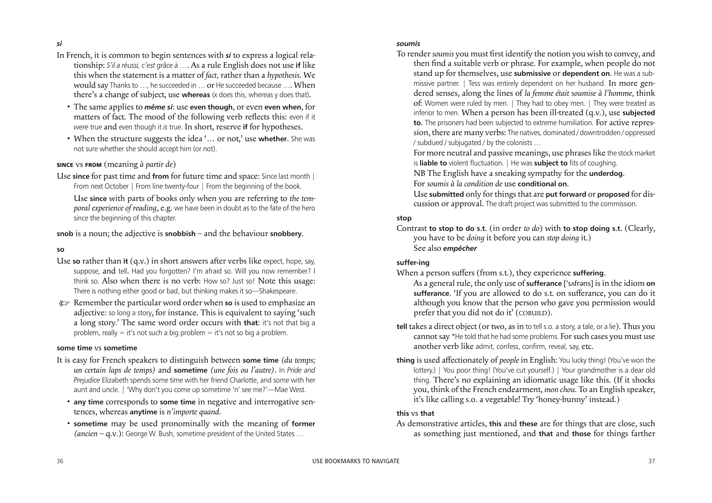### *soumis*

To render *soumis* you must first identify the notion you wish to convey, and then find a suitable verb or phrase. For example, when people do not stand up for themselves, use **submissive** or **dependent on**. He was a submissive partner. | Tess was entirely dependent on her husband. In more gendered senses, along the lines of *la femme était soumise à l'homme,* think of: Women were ruled by men. | They had to obey men. | They were treated as inferior to men. When a person has been ill-treated (q.v.), use **subjected to**. The prisoners had been subjected to extreme humiliation. For active repression, there are many verbs: The natives, dominated / downtrodden / oppressed / subdued / subjugated / by the colonists … For more neutral and passive meanings, use phraseslike the stock market is **liable to** violent fluctuation. | He was **subject to** fits of coughing. NB The English have a sneaking sympathy for the **underdog**. For *soumis à la condition de* use **conditional on**. Use **submitted** only forthingsthat are **put forward** or **proposed** for discussion or approval. The draft project was submitted to the commission.

### **stop**

Contrast **to stop to do s.t.** (in order *to do*) with **to stop doing s.t.** (Clearly, you have to be *doing* it before you can *stop doing* it.) See also *empêcher*

### **suffer-ing**

Use **since** for past time and **from** for future time and space: Since last month | From next October | From line twenty-four | From the beginning of the book.

- When a person sufers (from s.t.), they experience **suffering**. As a general rule, the only use of **sufferance** ['sʌfrəns] is in the idiom **on sufferance**. 'If you are allowed to do s.t. on suferance, you can do it although you know that the person who gave you permission would prefer that you did not do it' (COBUILD).
- **tell** takes a direct object (or two, as in to tell s.o. a story, a tale, or a lie). Thus you cannot say \*He told that he had some problems. For such cases you must use another verb like admit, confess, confirm, reveal, say, etc.
- **thing** is used affectionately of *people* in English: You lucky thing! (You've won the lottery.) | You poor thing! (You've cut yourself.) | Your grandmother is a dear old thing. There's no explaining an idiomatic usage like this. (If it shocks you, think of the French endearment, *mon chou.* To an English speaker, it's like calling s.o. a vegetable! Try 'honey-bunny' instead.)

### **this** vs **that**

As demonstrative articles, **this** and **these** are for things that are close, such as something just mentioned, and **that** and **those** for things farther

### *si*

- In French, it is common to begin sentences with *si* to express a logical relationship: *S'il a réussi, c'est grâce à ….* As a rule English does not use **if** like this when the statement is a matter of *fact,* rather than a *hypothesis.* We would say Thanks to ..., he succeeded in ... or He succeeded because .... When there's a change of subject, use **whereas** (x does this, whereas y does that).
	- The same applies to *même si*: use **even though**, or even **even when**, for matters of fact. The mood of the following verb relects this: even if it *were* true and even though it *is* true. In short, reserve **if** for hypotheses.
	- When the structure suggests the idea '… or not,' use **whether**. She was not sure whether she should accept him (or not).

### **SINCE** vs **FROM** (meaning *à partir de*)

 Use **since** with parts of books only when you are referring to *the temporal experience of reading*, e.g. we have been in doubt as to the fate of the hero since the beginning of this chapter.

**snob** is a noun; the adjective is **snobbish** – and the behaviour **snobbery**.

### **so**

- Use so rather than it (q.v.) in short answers after verbs like expect, hope, say, suppose, and tell. Had you forgotten? I'm afraid so. Will you now remember? I think so. Also when there is no verb: How so? Just so! Note this usage: There is nothing either good or bad, but thinking makes it so—Shakespeare.
- ) Remember the particular word order when **so** is used to emphasize an adjective: so long a story, for instance. This is equivalent to saying 'such a long story.' The same word order occurs with **that**: it's not that big a problem, really  $=$  it's not such a big problem  $=$  it's not so big a problem.

### **some time** vs **sometime**

- It is easy for French speakers to distinguish between **some time** *(du temps; un certain laps de temps)* and **sometime** *(une fois ou l'autre)*. In *Pride and Prejudice* Elizabeth spends some time with her friend Charlotte, and some with her aunt and uncle. | 'Why don't you come up sometime 'n' see me?'—Mae West.
	- **any time** corresponds to **some time** in negative and interrogative sentences, whereas **anytime** is *n'importe quand.*
	- **sometime** may be used pronominally with the meaning of **former** *(ancien* – q.v.): George W. Bush, sometime president of the United States …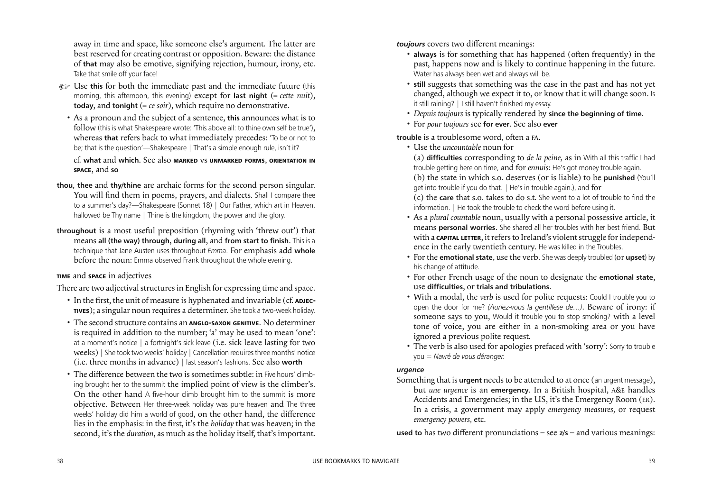*toujours* covers two diferent meanings:

- **always** is for something that has happened (often frequently) in the past, happens now and is likely to continue happening in the future. Water has always been wet and always will be.
- **still** suggests that something was the case in the past and has not yet changed, although we expect it to, or know that it will change soon. Is it still raining? | I still haven't finished my essay.
- *Depuis toujours* is typically rendered by **since the beginning of time**.
- For *pour toujours* see **for ever**. See also **ever**

trouble is a troublesome word, often a FA.

Something that is **urgent** needs to be attended to at once (an urgent message), but *une urgence* is an **emergency**. In a British hospital, A&E handles Accidents and Emergencies; in the US, it's the Emergency Room (ER). In a crisis, a government may apply *emergency measures,* or request *emergency powers,* etc.

- Use the *uncountable* noun for (a) **difficulties** corresponding to *de la peine,* as in With all this traffic I had trouble getting here on time, and for *ennuis*: He's got money trouble again. (b) the state in which s.o. deserves (or is liable) to be **punished** (You'll get into trouble if you do that. | He's in trouble again.), and for (c) the **care** that s.o. takes to do s.t. She went to a lot of trouble to find the information. | He took the trouble to check the word before using it.
- As a *plural countable* noun, usually with a personal possessive article, it means **personal worries**. She shared all her troubles with her best friend. But with a **CAPITAL LETTER**, it refers to Ireland's violent struggle for independence in the early twentieth century. He was killed in the Troubles.
- For the **emotional state**, use the verb. She was deeply troubled (or **upset**) by his change of attitude.
- For other French usage of the noun to designate the **emotional state**, use **difficulties**, or **trials and tribulations**.
- With a modal, the *verb* is used for polite requests: Could I trouble you to open the door for me? *(Auriez-vous la gentillese de…)*. Beware of irony: if someone says to you, Would it trouble you to stop smoking? with a level tone of voice, you are either in a non-smoking area or you have ignored a previous polite request.
- The verb is also used for apologies prefaced with 'sorry': Sorry to trouble you = *Navré de vous déranger.*
- ) Use **this** for both the immediate past and the immediate future (this morning, this afternoon, this evening) except for **last night** (= *cette nuit*), **today**, and **tonight** (= *ce soir*), which require no demonstrative.
	- As a pronoun and the subject of a sentence, **this** announces what is to follow (this is what Shakespeare wrote: 'This above all: to thine own self be true'), whereas **that** refers back to what immediately precedes: 'To be or not to be; that is the question'—Shakespeare | That's a simple enough rule, isn't it?

# *urgence*

**used to** has two diferent pronunciations – see **z/s** – and various meanings:

- In the first, the unit of measure is hyphenated and invariable (cf. **ADJEC**-**TIVES**); a singular noun requires a determiner. She took a two-week holiday.
- The second structure contains an **ANGLO-SAXON GENITIVE**. No determiner is required in addition to the number; 'a' may be used to mean 'one': at a moment's notice | a fortnight's sick leave (i.e. sick leave lasting for two weeks) | She took two weeks' holiday | Cancellation requires three months' notice (i.e. three months in advance) | last season's fashions. See also **worth**
- The difference between the two is sometimes subtle: in Five hours' climbing brought her to the summit the implied point of view is the climber's. On the other hand A five-hour climb brought him to the summit is more objective. Between Her three-week holiday was pure heaven and The three weeks' holiday did him a world of good, on the other hand, the diference lies in the emphasis: in the first, it's the *holiday* that was heaven; in the second, it's the *duration*, as much as the holiday itself, that's important.

away in time and space, like someone else's argument. The latter are best reserved for creating contrast or opposition. Beware: the distance of **that** may also be emotive, signifying rejection, humour, irony, etc. Take that smile off your face!

 cf. **what** and **which.** See also **MARKED** vs **UNMARKED FORMS**, **ORIENTATION IN SPACE**, and **so**

- **thou, thee** and **thy/thine** are archaic forms for the second person singular. You will find them in poems, prayers, and dialects. Shall I compare thee to a summer's day?—Shakespeare (Sonnet 18) | Our Father, which art in Heaven, hallowed be Thy name | Thine is the kingdom, the power and the glory.
- **throughout** is a most useful preposition (rhyming with 'threw out') that means **all (the way) through**, **during all**, and **from start to finish**. This is a technique that Jane Austen uses throughout *Emma*. For emphasis add **whole** before the noun: Emma observed Frank throughout the whole evening.

### **TIME** and **SPACE** in adjectives

There are two adjectival structures in English for expressing time and space.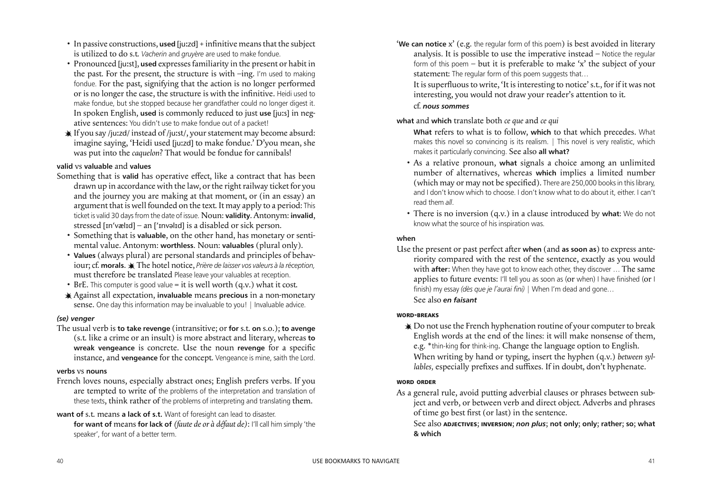- '**We can notice** x' (e.g. the regular form of this poem) is best avoided in literary analysis. It is possible to use the imperative instead – Notice the regular form of this poem – but it is preferable to make 'x' the subject of your statement: The regular form of this poem suggests that... It is superfluous to write, 'It is interesting to notice' s.t., for if it was not interesting, you would not draw your reader's attention to it. cf. *nous sommes*
- **what** and **which** translate both *ce que* and *ce qui* **What** refers to what is to follow, **which** to that which precedes. What makes this novel so convincing is its realism. | This novel is very realistic, which makes it particularly convincing. See also **all what?**
	- As a relative pronoun, **what** signals a choice among an unlimited number of alternatives, whereas **which** implies a limited number (which may or may not be specified). There are 250,000 books in this library, and I don't know which to choose. I don't know what to do about it, either. I can't read them *all*.
	- There is no inversion (q.v.) in a clause introduced by **what**: We do not know what the source of his inspiration was.

Use the present or past perfect after when (and as soon as) to express anteriority compared with the rest of the sentence, exactly as you would with **after**: When they have got to know each other, they discover ... The same applies to future events: I'll tell you as soon as (or when) I have finished (or I finish) my essay *(dès que je l'aurai fini)* | When I'm dead and gone… See also *en faisant*

### **when**

- In passive constructions, used [juzzd] + infinitive means that the subject is utilized to do s.t. *Vacherin* and *gruyère* are used to make fondue.
- Pronounced [just], **used** expressesfamiliarity in the present or habit in the past. For the present, the structure is with –ing. I'm used to making fondue. For the past, signifying that the action is no longer performed or is no longer the case, the structure is with the infinitive. Heidi used to make fondue, but she stopped because her grandfather could no longer digest it. In spoken English, **used** is commonly reduced to just **use** [jus] in negative sentences: You didn't use to make fondue out of a packet!
- If you say /juzd/ instead of /just/, yourstatement may become absurd: imagine saying, 'Heidi used [juzd] to make fondue.' D'you mean, she was put into the *caquelon*? That would be fondue for cannibals!

### **WORD-BREAKS**

 $\triangleq$  Do not use the French hyphenation routine of your computer to break English words at the end of the lines: it will make nonsense of them, e.g. \*thin-king for think-ing. Change the language option to English. When writing by hand or typing, insert the hyphen (q.v.) *between syllables, especially prefixes and suffixes. If in doubt, don't hyphenate.* 

- Something that is **valid** has operative efect, like a contract that has been drawn up in accordance with the law, or the right railway ticket for you and the journey you are making at that moment, or (in an essay) an argument that is well founded on the text. It may apply to a period: This ticket is valid 30 daysfrom the date of issue. Noun: **validity**. Antonym: **invalid**, stressed [ɪn'vælɪd] – an ['ɪnvəlɪd] is a disabled or sick person.
	- Something that is **valuable**, on the other hand, has monetary or sentimental value. Antonym: **worthless**. Noun: **valuables** (plural only).
	- **Values** (always plural) are personal standards and principles of behaviour;cf. **morals**. The hotel notice, *Prière de laisser vos valeurs à la réception,* must therefore be translated Please leave your valuables at reception.
	- BrE. This computer is good value = it is well worth  $(q.v.)$  what it cost.
	- Against all expectation, **invaluable** means **precious** in a non-monetary sense. One day this information may be invaluable to you! | Invaluable advice.

### **WORD ORDER**

As a general rule, avoid putting adverbial clauses or phrases between subject and verb, or between verb and direct object. Adverbs and phrases of time go best first (or last) in the sentence. See also **ADJECTIVES**; **INVERSION**; *non plus*; **not only**; **only**; **rather**; **so**; **what & which**

# **valid** vs **valuable** and **values**

### *(se) venger*

The usual verb is **to take revenge** (intransitive; or **for** s.t. **on** s.o.); **to avenge** (s.t. like a crime or an insult) is more abstract and literary, whereas **to wreak vengeance** is concrete. Use the noun **revenge** for a specific instance, and **vengeance** for the concept. Vengeance is mine, saith the Lord.

### **verbs** vs **nouns**

- French loves nouns, especially abstract ones; English prefers verbs. If you are tempted to write of the problems of the interpretation and translation of these texts, think rather of the problems of interpreting and translating them.
- **want of** s.t. means **a lack of s.t.** Want of foresight can lead to disaster.
	- **for want of** means **for lack of** *(faute de or à défaut de)*: I'll call him simply 'the speaker', for want of a better term.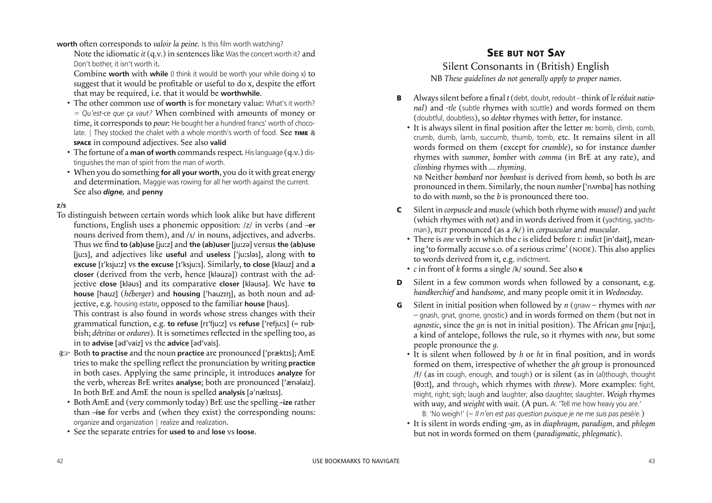# **SEE BUT NOT SAY**

# Silent Consonants in (British) English NB *These guidelines do not generally apply to proper names.*

- **B** Always silent before a final *t* (debt, doubt, redoubt think of *le réduit national*) and -*tle* (subtle rhymes with scuttle) and words formed on them (doubtful, doubtless), so *debtor* rhymes with *better*, for instance.
	- It is always silent in final position after the letter *m:* bomb, climb, comb, crumb, dumb, lamb, succumb, thumb, tomb, etc. It remains silent in all words formed on them (except for *crumble*), so for instance *dumber* rhymes with *summer*, *bomber* with *comma* (in BrE at any rate), and *climbing* rhymes with ... *rhyming*. NB Neither *bombard* nor *bombast* is derived from *bomb*, so both *b*s are pronounced in them. Similarly, the noun *number* ['nʌmbə] has nothing to do with *numb*, so the *b* is pronounced there too.
- **C** Silent in *corpuscle* and *muscle* (which both rhyme with *mussel*) and *yacht* (which rhymes with *not*) and in words derived from it (yachting, yachtsman), BUT pronounced (as a /k/) in *corpuscular* and *muscular*.
- There is *one* verb in which the *c* is elided before *t*: *indict* [in dait], meaning 'to formally accuse s.o. of a seriouscrime' (NODE). This also applies to words derived from it, e.g. indictment. • *c* in front of *k* forms a single /k/ sound. See also **<sup>K</sup>**
- 
- *handkerchief* and *handsome,* and many people omit it in *Wednesday*.
- **G** Silent in initial position when followed by *n* (gnaw rhymes with *nor* – gnash, gnat, gnome, gnostic) and in words formed on them (but not in *agnostic*, since the *gn* is not in initial position). The African *gnu* [nju], a kind of antelope, follows the rule, so it rhymes with *new*, but some people pronounce the *g*.
	- It is silent when followed by *h* or *ht* in final position, and in words formed on them, irrespective of whether the *gh* group is pronounced /f/ (as in cough, enough, and tough) or is silent (as in (al)though, thought [θɔt], and through, which rhymes with *threw*). More examples: fight, might, right; sigh; laugh and laughter; also daughter, slaughter. *Weigh* rhymes with *way*, and *weight* with *wait*. (A pun. A: 'Tell me how heavy you are.' B: 'No weigh!' (= *Il n'en est pas question puisque je ne me suis pas pesé/e.*)
	- It is silent in words ending *-gm*, as in *diaphragm, paradigm,* and *phlegm* but not in words formed on them (*paradigmatic, phlegmatic*).

**worth** often corresponds to *valoir la peine*. Is this film worth watching?

Note the idiomatic *it* (q.v.) in sentences like Was the concert worth it? and Don't bother, it isn't worth it.

Combine worth with while (I think it would be worth your while doing x) to suggest that it would be profitable or useful to do x, despite the effort that may be required, i.e. that it would be **worthwhile**.

- **E** Both **to practise** and the noun **practice** are pronounced ['præktɪs]; AmE tries to make the spelling relect the pronunciation by writing **practice** in both cases. Applying the same principle, it introduces **analyze** for the verb, whereas BrE writes **analyse**; both are pronounced [ &nəlaiz]. In both BrE and AmE the noun is spelled analysis [ə'nælɪsɪs].
- Both AmE and (very commonly today) BrE use the spelling **–ize** rather than **–ise** for verbs and (when they exist) the corresponding nouns: organize and organization | realize and realization.
- See the separate entries for **used to** and **lose** vs **loose**.
- The other common use of **worth** is for monetary value: What's it worth? = *Qu'est-ce que ça vaut?* When combined with amounts of money or time, it corresponds to *pour*: He bought her a hundred francs' worth of chocolate. | They stocked the chalet with a whole month's worth of food. See TIME & **SPACE** in compound adjectives. See also **valid**
- The fortune of a **man of worth** commandsrespect. Hislanguage (q.v.) distinguishes the man of spirit from the man of worth.
- When you do something **for all your worth**, you do it with great energy and determination. Maggie was rowing for all her worth against the current. See also *digne,* and **penny**

### **z/s**

To distinguish between certain words which look alike but have diferent functions, English uses a phonemic opposition: /z/ in verbs (and **–er** nouns derived from them), and /s/ in nouns, adjectives, and adverbs. Thus we ind **to (ab)use** [juz] and **the (ab)user** [juzə] versus **the (ab)use** [jus], and adjectives like **useful** and **useless** [ jusləs], along with **to excuse** [ ksjuz] vs **the excuse** [ ksjus]. Similarly, **to close** [kləuz] and **a closer** (derived from the verb, hence [kləuzə]) contrast with the adjective **close** [kləus] and its comparative **closer** [kləusə]. We have **to house** [hauz] (*héberger*) and **housing** [ hauzŋ], as both noun and adjective, e.g. housing estate, opposed to the familiar **house** [haus].

 This contrast is also found in words whose stress changes with their grammatical function, e.g. **to refuse** [r fjuz] vs **refuse** [ refjus] (= rubbish; *détritus* or *ordures*). It is sometimes relected in the spelling too, as in to **advise** [əd vaiz] vs the **advice** [əd vais].

**D** Silent in a few common words when followed by a consonant, e.g.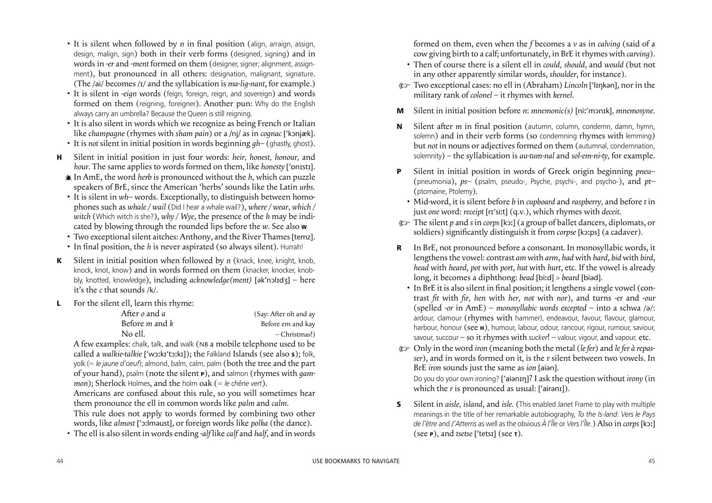formed on them, even when the *f* becomes a *v* as in *calving* (said of a cow giving birth to a calf; unfortunately, in BrE itrhymes with *carving*). • Then of course there is a silent ell in *could, should*, and *would* (but not in any other apparently similar words, *shoulder*, for instance).

- 
- ) Two exceptionalcases: no ell in (Abraham) *Lincoln* [ lŋkən], nor in the military rank of *colonel* – it rhymes with *kernel*.
- **M** Silent in initial position before *n*: *mnemonic(s)* [niː'mɔnɪk], *mnemosyne.*
- **N** Silent after *m* in final position (autumn, column, condemn, damn, hymn, solemn) and in their verb forms (so condemning rhymes with lemming) but *not* in nouns or adjectives formed on them (autumnal, condemnation, solemnity) – the syllabication is *au-tum-nal* and *sol-em-ni-ty,* for example.
- **P** Silent in initial position in words of Greek origin beginning *pneu–* (pneumonia), *ps–* (psalm, pseudo-, Psyche, psychi-, and psycho-), and *pt–* (ptomaine, Ptolemy).
	- Mid-word, it is silent before *b* in *cupboard* and *raspberry,* and before *t* in just *one* word: *receipt* [r sit] (q.v.), which rhymes with *deceit*.
- ) The silent *p* and *s* in *corps* [kɔ] (a group of ballet dancers, diplomats, or soldiers) significantly distinguish it from *corpse* [kɔːps] (a cadaver).
- **R** In BrE, not pronounced before a consonant. In monosyllabic words, it lengthens the vowel: contrast *am* with *arm*, *had* with *hard*, *bid* with *bird*, *head* with *heard*, *pot* with *port*, *hut* with *hurt*, etc. If the vowel is already long, it becomes a diphthong: *bead* [bid] > *beard* [biəd].
	- In BrE it is also silent in final position; it lengthens a single vowel (contrast *it* with *ir, hen* with *her, not* with *nor*), and turns *-er* and *-our* (spelled *-or* in AmE) – *monosyllabic words excepted* – into a schwa /ə/: ardour, clamour (rhymes with hammer), endeavour, favour, flavour, glamour, harbour, honour (see **<sup>H</sup>**), humour, labour, odour, rancour, rigour, rumour, saviour, savour, succour – so it rhymes with *sucker*! – valour, vigour, and vapour, etc.
- ) Only in the word *iron* (meaning both the metal (*lefer*) and *lefer à repasser*), and in words formed on it, is the *r* silent between two vowels. In BrE *iron* sounds just the same as *ion* [aiən]. Do you do your own ironing? ['aianIn]? I ask the question without *irony* (in which the *r* is pronounced as usual: ['airənɪ]).
- **S** Silent in *aisle, island*, and *isle*. (This enabled Janet Frame to play with multiple meanings in the title of her remarkable autobiography, *To the Is-land*: *Vers le Pays de l'être* and *J'Atterris* as well as the obvious  $\lambda$  *l'île* or *Vers l'île*.) Also in *corps* [kɔː] (see **<sup>P</sup>**), and *tsetse* [ tets] (see **<sup>T</sup>**).

 This rule does not apply to words formed by combining two other words, like *almost* ['ɔːlməust], or foreign words like *polka* (the dance).

- It is silent when followed by *n* in final position (align, arraign, assign, design, malign, sign) both in their verb forms (designed, signing) and in words in *-er* and *-ment* formed on them (designer, signer; alignment, assignment), but pronounced in all others: designation, malignant, signature*.* (The /ai/ becomes /1/ and the syllabication is *ma-lig-nant*, for example.)
- It is silent in *-eign* words (feign, foreign, reign, and sovereign) and words formed on them (reigning, foreigner). Another pun: Why do the English always carry an umbrella? Because the Queen is still reigning.
- It is also silent in words which we recognize as being French or Italian like *champagne* (rhymes with *sham pain*) or a /nj/ as in *cognac* [ kɔnj&k].
- It is *not* silent in initial position in words beginning *gh–* (ghastly, ghost).
- **H** Silent in initial position in just four words: *heir, honest, honour,* and hour. The same applies to words formed on them, like *honesty* ['pnɪstɪ].
	- In AmE, the word *herb* is pronounced without the *h*, which can puzzle speakers of BrE, since the American 'herbs' sounds like the Latin *urbs*.
	- It is silent in *wh–* words. Exceptionally, to distinguish between homophones such as *whale / wail* (Did I hear a whale wail?), *where / wear, which / witch* (Which witch is she?), *why / Wye*, the presence of the *h* may be indicated by blowing through the rounded lips before the *w*. See also **<sup>W</sup>**
	- Two exceptional silent aitches: Anthony, and the River Thames [temz].
	- In final position, the *h* is never aspirated (so always silent). Hurrah!
- **K** Silent in initial position when followed by *n* (knack, knee, knight, knob, knock, knot, know) and in words formed on them (knacker, knocker, knobbly, knotted, knowledge), including acknowledge(ment) [ak'nol1d3] - here it's the *c* that sounds /k/.
- **L** For the silent ell, learn this rhyme:

| After <i>o</i> and <i>a</i>  | (Say: After oh and ay |
|------------------------------|-----------------------|
| Before <i>m</i> and <i>k</i> | Before em and kay     |
| No ell.                      | - Christmas!)         |

 A few examples: chalk, talk, and walk (NB a mobile telephone used to be called a walkie-talkie ['wɔːkɪ'tɔːkɪ]); the Falkland Islands (see also **s**); folk, yolk (= *le jaune d'oeuf*); almond, balm, calm, palm (both the tree and the part of your hand), psalm (note the silent **<sup>P</sup>**), and salmon (rhymes with *gammon*); Sherlock Holmes, and the holm oak (= *le chêne vert*).

 Americans are confused about this rule, so you will sometimes hear them pronounce the ell in common words like *palm* and *calm*.

• The ell is also silent in words ending *-alf* like *calf* and *half*, and in words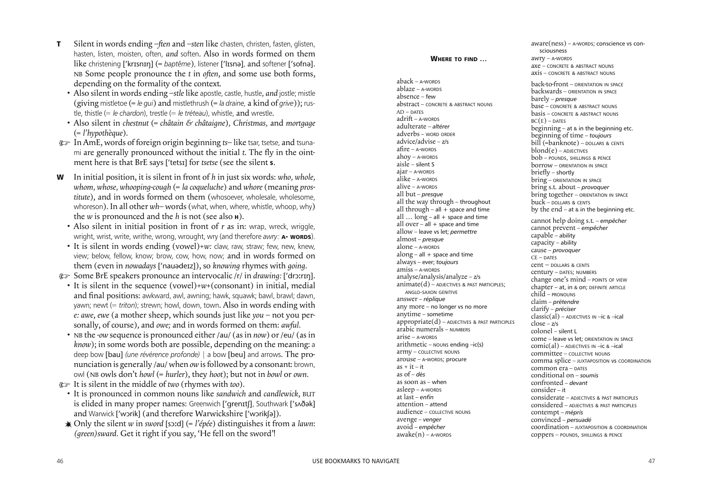**WHERE TO FIND …**

|                                                      | a                                |
|------------------------------------------------------|----------------------------------|
|                                                      | a                                |
| $aback - A$ -WORDS                                   | b                                |
| $ablace - A\text{-}w$ ORDS                           | b                                |
| absence – few                                        | b                                |
| abstract - CONCRETE & ABSTRACT NOUNS                 | b                                |
| $AD - DATES$                                         | b                                |
| $adrift - A-WORDS$                                   | B                                |
| adulterate - altérer                                 | b                                |
| adverbs - word ORDER                                 | $\mathbf b$                      |
| advice/advise - z/s                                  | b                                |
| $a$ fire – $a$ -words                                | b                                |
| $ahoy - A-WORDS$                                     | b                                |
| aisle - silent S                                     | b                                |
| ajar – A-words                                       | b                                |
| $alike - A-WORDS$                                    | b                                |
| $alive - A-WORDS$                                    | b                                |
| all but – <i>presque</i>                             | b                                |
| all the way through – throughout                     | b                                |
| all through $-$ all $+$ space and time               | b                                |
| all $\log -$ all + space and time                    |                                  |
| all over $-$ all $+$ space and time                  | $\mathcal{C}$                    |
| allow – leave vs let; permettre                      | $\mathsf{C}$                     |
| almost – presque                                     | $\mathsf{C}$                     |
| alone – a-words                                      | C,                               |
| $along - all + space$ and time                       | C,                               |
| always - ever; toujours                              | $\mathsf{C}$                     |
| $amiss - A-WORDS$                                    | $\mathsf{C}$                     |
| analyse/analysis/analyze - z/s                       | $\mathbf{C}$                     |
| $\text{animate}(d)$ – ADJECTIVES & PAST PARTICIPLES; | $\overline{c}$                   |
| ANGLO-SAXON GENITIVE                                 | $\overline{c}$<br>$\overline{c}$ |
| answer – réplique                                    | $\overline{c}$                   |
| any more - no longer vs no more                      | $\overline{c}$                   |
| anytime - sometime                                   | $\overline{c}$                   |
| $approx( d ) -$ ADJECTIVES & PAST PARTICIPLES        | $\overline{c}$                   |
| arabic numerals – NUMBERS                            |                                  |
| $arise - A-WORDS$                                    | C                                |
| $arithmetic - nouns ending -ic(s)$                   | $\mathcal{C}$                    |
| army - COLLECTIVE NOUNS                              | $\mathcal{C}$<br>$\mathcal{C}$   |
| arouse - A-WORDS; procure                            | $\mathcal{C}$                    |
| $as + it - it$                                       | $\mathcal{C}$                    |
| as $of - des$                                        | $\mathcal{C}$                    |
| as soon as - when                                    | $\mathcal{C}$                    |
| $\text{asleep}-\text{A-WORDS}$                       | $\mathcal{C}$                    |
| at last – enfin                                      | $\mathsf{C}$                     |
| attention - attend                                   | C                                |
| audience - collective Nouns                          | C                                |
| avenge - venger                                      | C                                |
| avoid - empêcher                                     | $\mathsf{C}$                     |
| $awake(n) - A-worps$                                 | $\mathcal{C}$                    |
|                                                      |                                  |

[aware\(ness\)](#page-1-0) – A-WORDS; conscience vs con[sciousness](#page-1-0) [awry](#page-1-0) – A-WORDS [axe](#page-2-0) – CONCRETE & ABSTRACT NOUNS [axis](#page-2-0) – CONCRETE & ABSTRACT NOUNS back-to-front – ORIENTATION IN SPACE backwards – ORIENTATION IN SPACE barely – *presque* [base](#page-2-0) – CONCRETE & ABSTRACT NOUNS [basis](#page-2-0) – CONCRETE & ABSTRACT NOUNS  $BC(E)$  – Dates [beginning](#page-1-0) – at & in the beginning etc. beginning of time – *toujours* bill (=banknote) – DOLLARS & CENTS  $\boldsymbol{\mathrm{blond}}(\boldsymbol{\mathrm{e}})$  – ADJECTIVES  $b$ o $b$  – pounds, shillings & pence borrow – ORIENTATION IN SPACE priefly – [shortly](#page-2-0) bring – ORIENTATION IN SPACE bring s.t. about – *provoquer* bring together – ORIENTATION IN SPACE buck – DOLLARS & CENTS by the end – at & in the beginning etc. cannot help doing s.t. – *[empêcher](#page-1-0)* cannot prevent – *[empêcher](#page-2-0)* [capable](#page-1-0) – ability [capacity](#page-1-0) – ability cause – *[provoquer](#page-2-0)*  $CE - DATES$ cent – DOLLARS & CENTS century – DATES; NUMBERS change one's mind – POINTS OF VIEW [chapter](#page-1-0) – at, in & on; DEFINITE ARTICLE child – PRONOUNS claim – *[prétendr](#page-1-0)e* clarify – *[préciser](#page-2-0)* [classic\(al\)](#page-1-0) – ADJECTIVES IN –ic & –ical  $\frac{1}{2}$ close –  $\frac{z}{s}$ colonel – silent L [come](#page-2-0) – leave vs let; ORIENTATION IN SPACE [comic\(al\)](#page-1-0) – ADJECTIVES IN –ic & –ical [committee](#page-1-0) – COLLECTIVE NOUNS comma splice – JUXTAPOSITION vs COORDINATION common era – DATES conditional on – *soumis* confronted – *devant* [consider](#page-2-0) – it considerate – ADJECTIVES & PAST PARTICIPLES considered – ADJECTIVES & PAST PARTICIPLES contempt – *mépris* convinced – *persuadé* [coordination](#page-2-0) – JUXTAPOSITION & COORDINATION coppers – POUNDS, SHILLINGS & PENCE

- **T** Silent in words ending –*ften* and –*sten* like chasten, christen, fasten, glisten, hasten, listen, moisten, often, *and* soften*.* Also in words formed on them like christening ['krɪsnɪŋ] (= baptême), listener ['Iɪsnə], and softener ['sofnə]. NB Some people pronounce the *t* in *often*, and some use both forms, depending on the formality of the context.
	- Also silent in words ending *–stle* like apostle, castle, hustle*, and* jostle; mistle (giving mistletoe (= *le gui*) and mistlethrush (= *la draine,* a kind of *grive*)); rustle, thistle (= *le chardon*), trestle (= *le tréteau*), whistle, and wrestle*.*
	- Also silent in *chestnut* (= *châtain & châtaigne*)*, Christmas,* and *mortgage* (= *l'hypothèque*).
- ) In AmE, words of foreign origin beginning *ts–* like tsar, tsetse, and tsunami are generally pronounced without the initial *t*. The fly in the ointment here is that BrE says [ tets] for *tsetse* (see the silent **<sup>S</sup>**.
- **W** In initial position, it is silent in front of *h* in just six words: *who, whole, whom, whose, whooping-cough* (= *la coqueluche*) and *whore* (meaning *prostitute*), and in words formed on them (whosoever, wholesale, wholesome, whoreson). In all other  $wh$ – words (what, when, where, whistle, whoop, why) the *w* is pronounced and the *h* is not (see also **<sup>H</sup>**).
	- Also silent in initial position in front of *r* as in: wrap, wreck, wriggle, wright, wrist, write, writhe, wrong, wrought, wry (and therefore *awry:* **A- WORDS**).
	- It is silent in words ending (vowel)+*w:* claw, raw, straw; few, new, knew, view; below, fellow, know; brow, cow, how, now; and in words formed on them (even in *nowadays* [ nauədez]), so *knowing* rhymes with *going*.

) Some BrE speakers pronounce an intervocalic /r/ in *drawing:* [ drɔrŋ].

- It is silent in the sequence (vowel)+*w*+(consonant) in initial, medial and final positions: awkward, awl, awning; hawk, squawk; bawl, brawl; dawn, yawn; newt (= *triton*); strewn; howl, down, town. Also in words ending with *e: awe*, *ewe* (a mother sheep, which sounds just like *you* – not you personally, of course), and *owe;* and in words formed on them: *awful.*
- NB the *-ow* sequence is pronounced either /au/ (asin *now*) or /eu/ (asin *know*); in some words both are possible, depending on the meaning: a deep bow [bau] *(une révérence profonde)* | a bow [beu] and arrows. The pronunciation is generally /au/ when *ow* isfollowed by a consonant: brown, owl (NB owls don't *howl* (= *hurler*), they *hoot*); but not in *bowl* or *own.*
- ) It is silent in the middle of *two* (rhymes with *too*).
	- It is pronounced in common nouns like *sandwich* and *candlewick*, BUT is elided in many proper names: Greenwich ['grenɪtʃ], Southwark ['sʌðək] and Warwick [ wɔrik] (and therefore Warwickshire [ wɔrikʃə]).
- Only the silent *w* in *sword* [sɔd] (= *l'épée*) distinguishes it from a *lawn*: *(green)sward.* Get it right if you say, 'He fell on the sword'!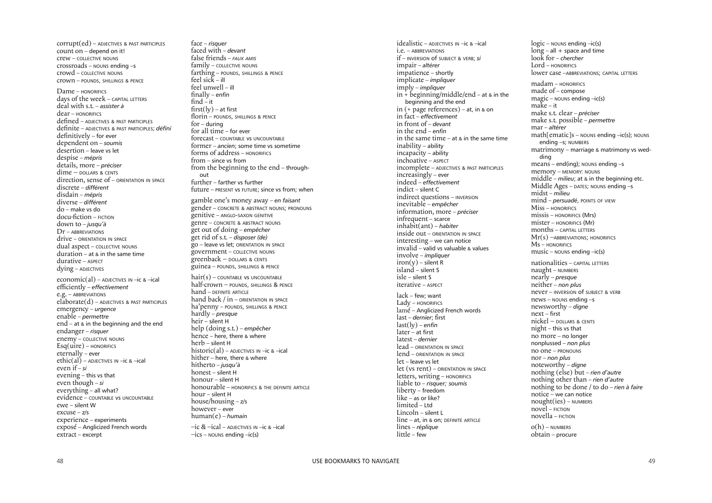idealistic – ADJECTIVES IN –ic & –ical i.e. – ABBREVIATIONS if – [INVERSION](#page-2-0) of SUBJECT & VERB; *si* impair – *altérer* [impatience](#page-2-0) – shortly [implicate](#page-2-0) – *impliquer* imply – *[impliquer](#page-2-0)*  $in + \overline{b}$ eginning/middle/end – at & in the beginning and the end in (+ page references) – at, in & on in fact – *[effectivement](#page-2-0)* in front of – *devant* in the end – *[enfin](#page-2-0)* in the same time – at & in the [same](#page-2-0) time inability – ability incapacity – ability inchoative – ASPECT [incomplete](#page-1-0) – ADJECTIVES & PAST PARTICIPLES increasingly – ever indeed – *[effectivement](#page-2-0)* indict – silent C indirect questions – INVERSION inevitable – *empêcher* [information,](#page-1-0) more – *préciser* infrequent – scarce inhabit(ant) – *habiter* inside out – ORIENTATION IN SPACE interesting – we can notice invalid – valid vs valuable & values involve – *[impliquer](#page-2-0)*  $iron(y)$  – silent R island – silent S isle – silent S iterative – ASPECT lack – few; [want](#page-2-0) [Lady](#page-2-0) – HONORIFICS lamé – Anglicized French words last – *[dernier](#page-2-0)*; first [last\(ly\)](#page-2-0) – *enfin* later – at first latest – *dernier* lead – ORIENTATION IN SPACE lend – ORIENTATION IN SPACE let – leave vs let let (vs rent) – ORIENTATION IN SPACE letters, writing – HONORIFICS [liable](#page-2-0) to – *risquer; [soumis](#page-2-0)* liberty – freedom [like](#page-2-0) – as or like? [limited](#page-2-0) – Ltd Lincoln – silent L [line](#page-1-0) – at, in & on; DEFINITE ARTICLE lines – *[réplique](#page-2-0)* [little](#page-2-0) – few  $logic$  – NOUNS ending  $-ic(s)$  $long - all + space$  and time look for – *chercher* [Lord](#page-2-0) – HONORIFICS lower case –ABBREVIATIONS; CAPITAL LETTERS [madam](#page-2-0) – HONORIFICS made of – compose  $magic - nouns$  $magic - nouns$  ending  $-ic(s)$ [make](#page-2-0) – it make s.t. clear – *préciser* make s.t. possible – *[permettre](#page-2-0)* mar – *altérer* math[ematic]s – NOUNS ending –ic(s); NOUNS ending –s; NUMBERS matrimony – marriage & matrimony vs wedding  $means - end(ing)$ ; NOUNS ending  $-s$ [memory](#page-2-0) – MEMORY: NOUNS middle – *milieu*; at & in the [beginning](#page-1-0) etc. Middle Ages – DATES; NOUNS ending –s midst – *milieu* mind – *persuadé*, POINTS OF VIEW [Miss](#page-2-0) – HONORIFICS missis – HONORIFICS (Mrs) mister – HONORIFICS (Mr) months – CAPITAL LETTERS Mr(s) –[ABBREVIATIONS;](#page-2-0) HONORIFICS [Ms](#page-2-0) – HONORIFICS  $music - $N$  $music - $N$$$ nationalities – CAPITAL LETTERS naught – NUMBERS nearly – *presque* [neither](#page-2-0) – *non plus* [never](#page-2-0) – INVERSION of SUBJECT & VERB [news](#page-2-0) – NOUNS ending –s newsworthy – *digne* [next](#page-2-0) – first nickel – DOLLARS & CENTS night – this vs that no more – no longer nonplussed – *non plus* no one – PRONOUNS [nor](#page-2-0) – *non plus* noteworthy – *digne* nothing (else) but – *rien d'autre* nothing other than – *rien d'autre* nothing to be done / to do – *rien à faire* notice – we can notice nought(ies) – NUMBERS  $novel - FICTION$  $novel - FICTION$  $novella - FICTION$  $novella - FICTION$  $o(h)$  – NUMBERS [obtain](#page-2-0) – procure

face – *[risquer](#page-2-0)* faced with – *devant* false friends – *FAUX AMIS* [family](#page-2-0) – COLLECTIVE NOUNS farthing – POUNDS, SHILLINGS & PENCE feel [sick](#page-2-0) – ill feel [unwell](#page-2-0) – ill i[nally](#page-2-0) – *enfin* fi[nd](#page-2-0)  $-$  it  $first(ly) - at first$  $first(ly) - at first$  $first(ly) - at first$ florin – POUNDS, SHILLINGS & PENCE for – during for all [time](#page-2-0) – for ever forecast – COUNTABLE vs UNCOUNTABLE former – *ancien*; some time vs sometime forms of address – HONORIFICS [from](#page-2-0) – since vs from from the [beginning](#page-2-0) to the end – through[out](#page-2-0) further – farther vs further [future](#page-2-0) – PRESENT vs FUTURE; since vs from; when gamble one's money away – *en faisant* [gender](#page-2-0) – CONCRETE & ABSTRACT NOUNS; PRONOUNS genitive – ANGLO-SAXON GENITIVE genre – CONCRETE & ABSTRACT NOUNS get out of doing – *[empêcher](#page-2-0)* get rid of s.t. – *disposer (de)* go – [leave](#page-2-0) vs let; ORIENTATION IN SPACE [government](#page-2-0) – COLLECTIVE NOUNS greenback – DOLLARS & CENTS [guinea](#page-2-0) – POUNDS, SHILLINGS & PENCE  $hair(s) - countable$  $hair(s) - countable$  vs UNCOUNTABLE half-crown – POUNDS, SHILLINGS & PENCE  $hand$  – DEFINITE ARTICLE hand back / in – ORIENTATION IN SPACE ha'penny – POUNDS, SHILLINGS & PENCE hardly – *presque* heir – silent H help (doing s.t.) – *[empêcher](#page-1-0)* hence – here, there & where herb – silent H [historic\(al\)](#page-1-0) – ADJECTIVES IN  $-$ ic &  $-$ ical hither – here, there & where hitherto – *jusqu'à* honest – silent H honour – silent H [honourable](#page-2-0) – HONORIFICS & THE DEFINITE ARTICLE [hour](#page-2-0) – silent H [house/housing](#page-2-0) – z/s [however](#page-2-0) – ever [human\(e\)](#page-2-0) – *humain* –ic & [–ical](#page-2-0) – ADJECTIVES IN –ic & –ical  $-ics -$  NOUNS ending  $-ic(s)$ 

[corrupt\(ed\)](#page-1-0) – ADJECTIVES & PAST PARTICIPLES count on – depend on it! crew – COLLECTIVE NOUNS [crossroads](#page-1-0) – NOUNS ending –s [crowd](#page-1-0) – COLLECTIVE NOUNS crown – POUNDS, SHILLINGS & PENCE

### Dame – HONORIFICS

days of the week – CAPITAL LETTERS deal with s.t. – *assister à* [dear](#page-2-0) – HONORIFICS defi[ned](#page-1-0) – ADJECTIVES & PAST PARTICIPLES dei[nite](#page-1-0) – ADJECTIVES & PAST PARTICIPLES; *défini*  $definitely - for ever$ [dependent](#page-2-0) on – *soumis* [desertion](#page-2-0) – leave vs let [despise](#page-1-0) – *mépris* [details,](#page-1-0) more – *préciser* dime – DOLLARS & CENTS direction, sense of – ORIENTATION IN SPACE [discrete](#page-1-0) – *différent* [disdain](#page-2-0) – *mépris* [diverse](#page-1-0) – *différent* do – make vs do  $docu\text{-fiction}$  –  $FICTION$ down to – *[jusqu'à](#page-2-0)* Dr – ABBREVIATIONS drive – ORIENTATION IN SPACE dual aspect – COLLECTIVE NOUNS [duration](#page-1-0) – at & in the same time durative – ASPECT dying – ADJECTIVES

[economic\(al\)](#page-1-0) – ADJECTIVES IN –ic & –ical efficiently – effectivement  $e.g. - ABBREVIATIONS$  $elaborate(d)$  $elaborate(d)$  – ADJECTIVES & PAST PARTICIPLES emergency – *urgence* enable – *[permettre](#page-1-0)* end – at & in the [beginning](#page-1-0) and the end endanger – *risquer* [enemy](#page-2-0) – COLLECTIVE NOUNS  $Esq(uire)$  – HONORIFICS eternally – ever ethic(al) – ADJECTIVES IN  $-$ ic &  $-$ ical [even](#page-2-0) if – *si* evening – this vs that even [though](#page-2-0) – *si* [everything](#page-1-0) – all what? evidence – COUNTABLE vs UNCOUNTABLE ewe – silent W [excuse](#page-2-0) – z/s experience – experiments exposé – Anglicized French words extract – excerpt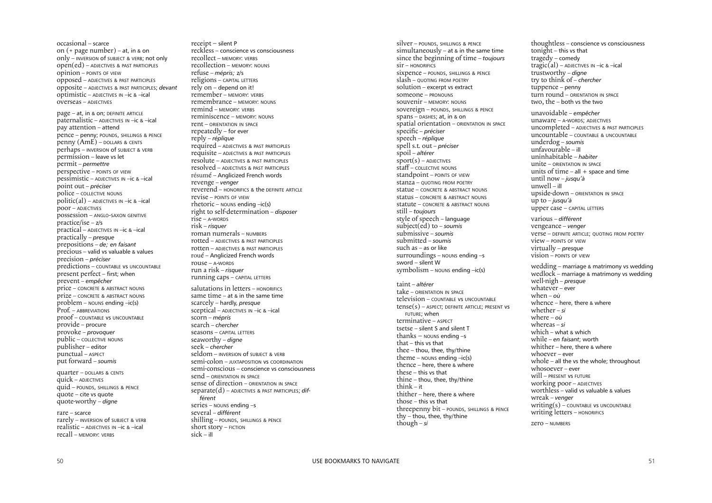silver – POUNDS, SHILLINGS & PENCE [simultaneously](#page-1-0) – at  $\&$  in the same time since the beginning of time – *toujours*  $\sin$  – HONORIFICS sixpence – POUNDS, SHILLINGS & PENCE [slash](#page-2-0) – QUOTING FROM POETRY solution – excerpt vs extract [someone](#page-2-0) – PRONOUNS [souvenir](#page-2-0) – MEMORY: NOUNS [sovereign](#page-2-0) – POUNDS, SHILLINGS & PENCE spans – DASHES; at, in & on spatial orientation – ORIENTATION IN SPACE specific – *[préciser](#page-2-0)* speech – *[réplique](#page-2-0)* spell s.t. out – *préciser* spoil – *altérer*  $sport(s) - ADJECTIVES$ [sta](#page-2-0)ff – COLLECTIVE NOUNS [standpoint](#page-2-0) – POINTS OF VIEW stanza – QUOTING FROM POETRY statue – CONCRETE & ABSTRACT NOUNS [status](#page-2-0) – CONCRETE & ABSTRACT NOUNS [statute](#page-2-0) – CONCRETE & ABSTRACT NOUNS still – *[toujours](#page-2-0)* style of speech – [language](#page-2-0) [subject\(ed\)](#page-2-0) to – *soumis* [submissive](#page-2-0) – *soumis* [submitted](#page-2-0) – *soumis* [such](#page-1-0) as – as or like [surroundings](#page-1-0) –  $\gamma$  nouns ending –s [sword](#page-1-0) – silent W s[ymbolism](#page-1-0) –  $N$ ouns ending –ic(s) taint – *altérer* take – ORIENTATION IN SPACE television – COUNTABLE vs UNCOUNTABLE tense(s) – ASPECT; DEFINITE ARTICLE; PRESENT vs FUTURE; when terminative – ASPECT tsetse – silent S and silent T thanks –  $N$  nouns ending –s [that](#page-2-0) – this vs that thee – thou, thee, thy/thine [theme](#page-1-0) –  $N$  NOUNS ending  $-ic(s)$ [thence](#page-2-0) – here, there & where [these](#page-2-0) – this vs that thine – thou, thee, thy/thine [think](#page-2-0) – it [thither](#page-2-0) – here, there & where [those](#page-2-0) – this vs that threepenny bit – POUNDS, SHILLINGS & PENCE thy – thou, thee, thy/thine [though](#page-2-0) – *si*

thoughtless – conscience vs consciousness tonight – this vs that t[ragedy](#page-2-0) – comedy  $tragic(al)$  – ADJECTIVES IN –ic & –ical trustworthy – *digne* try to think of – *chercher* [tuppence](#page-1-0) – penny turn round – ORIENTATION IN SPACE [two,](#page-1-0) the – both vs the two unavoidable – *empêcher* unaware – A-WORDS; ADJECTIVES [uncompleted](#page-1-0) – ADJECTIVES & PAST PARTICIPLES uncountable – COUNTABLE & UNCOUNTABLE underdog – *soumis* unfavourable – ill uninhabitable – *habiter* unite – ORIENTATION IN SPACE units of time – all  $+$  space and time until now – *[jusqu'à](#page-2-0)* [unwell](#page-2-0) – ill upside-down – ORIENTATION IN SPACE up to – *[jusqu'à](#page-2-0)* upper case – CAPITAL LETTERS [various](#page-1-0) – *différent* vengeance – *venger* [verse](#page-1-0) – DEFINITE ARTICLE; QUOTING FROM POETRY view – POINTS OF VIEW virtually – *presque* vision – POINTS OF VIEW wedding – marriage & matrimony vs wedding wedlock – marriage & matrimony vs wedding well-nigh – *presque* whatever – ever [when](#page-2-0) – *où* [whence](#page-2-0) – here, there & where whether – *si* where – *où* whereas – *si* which – what & which while – *en faisant*; worth [whither](#page-2-0) – here, there & where whoever – ever whole – all the vs the whole; [throughout](#page-2-0) whosoever – ever will – [PRESENT](#page-2-0) vs FUTURE working poor – ADJECTIVES worthless – valid vs valuable & values wreak – *venger*  $writing(s)$  – COUNTABLE VS UNCOUNTABLE writing letters – HONORIFICS

receipt – silent P reckless – conscience vs consciousness [recollect](#page-2-0) – MEMORY: VERBS [recollection](#page-2-0) – MEMORY: NOUNS [refuse](#page-2-0) – *mépris;* z/s religions – CAPITAL LETTERS rely on – depend on it! [remember](#page-2-0) – MEMORY: VERBS [remembrance](#page-2-0) – MEMORY: NOUNS [remind](#page-2-0) – MEMORY: VERBS [reminiscence](#page-2-0) – MEMORY: NOUNS rent – ORIENTATION IN SPACE [repeatedly](#page-2-0) – for ever reply – *[réplique](#page-2-0)* required – ADJECTIVES & PAST PARTICIPLES requisite – ADJECTIVES & PAST PARTICIPLES [resolute](#page-1-0) – ADJECTIVES & PAST PARTICIPLES [resolved](#page-1-0) – ADJECTIVES & PAST PARTICIPLES résumé – Anglicized French words revenge – *venger* [reverend](#page-2-0) – HONORIFICS & the DEFINITE ARTICLE revise – POINTS OF VIEW [rhetoric](#page-1-0) –  $N$ ouns ending –ic(s) right to self-determination – *disposer*  $rise - A-WORDS$ risk – *[risquer](#page-2-0)* roman numerals – NUMBERS [rotted](#page-1-0) – ADJECTIVES & PAST PARTICIPLES [rotten](#page-1-0) – ADJECTIVES & PAST PARTICIPLES roué – Anglicized French words rouse – A-WORDS run a risk – *[risquer](#page-2-0)* running caps – CAPITAL LETTERS salutations in letters – HONORIFICS [same](#page-2-0) time – at  $\&$  in the same time

[scarcely](#page-2-0) – hardly, *presque* [sceptical](#page-1-0) – ADJECTIVES IN –ic & –ical [scorn](#page-2-0) – *mépris* search – *chercher* seasons – CAPITAL LETTERS seaworthy – *digne* seek – *chercher* seldom – INVERSION of SUBJECT & VERB [semi-colon](#page-2-0) – JUXTAPOSITION vs COORDINATION semi-conscious – conscience vs consciousness send – ORIENTATION IN SPACE sense of direction – ORIENTATION IN SPACE [separate\(d\)](#page-1-0) – ADJECTIVES & PAST PARTICIPLES; *dif[férent](#page-1-0)* [series](#page-2-0) – NOUNS ending –s [several](#page-1-0) – *différent* [shilling](#page-2-0) – POUNDS, SHILLINGS & PENCE [short](#page-2-0) story – FICTION  $sick - ill$  $sick - ill$ 

zero – NUMBERS

occasional – scarce on (+ page [number\)](#page-2-0) – at, in & on only – [INVERSION](#page-2-0) of SUBJECT & VERB; not only open(ed) – ADJECTIVES & PAST PARTICIPLES [opinion](#page-2-0) – POINTS OF VIEW opposed [–](#page-1-0) ADJECTIVES & PAST PARTICIPLES opposite – ADJECTIVES & PAST PARTICIPLES; *devant* optimistic – ADJECTIVES IN –ic & –ical overseas – ADJECTIVES [page](#page-1-0) – at, in & on; DEFINITE ARTICLE

paternalistic – ADJECTIVES IN –ic & –ical pay attention – attend [pence](#page-1-0) – penny; POUNDS, SHILLINGS & PENCE penny (AmE) – DOLLARS & CENTS perhaps – INVERSION of SUBJECT & VERB [permission](#page-2-0) – leave vs let permit – *permettre* [perspective](#page-2-0) – POINTS OF VIEW pessimistic – ADJECTIVES IN –ic & –ical point out – *[préciser](#page-2-0)* [police](#page-2-0) – COLLECTIVE NOUNS politic(al) – ADJECTIVES IN  $-$ ic &  $-$ ical  $\overline{p}$ OON – ADJECTIVES [possession](#page-2-0) – ANGLO-SAXON GENITIVE practice/ise – z/s [practical](#page-1-0) – ADJECTIVES IN –ic & –ical practically – *presque* prepositions – *de; en faisant* precious – valid vs valuable & values [precision](#page-2-0) – *préciser* predictions – COUNTABLE vs UNCOUNTABLE present perfect – first; when prevent – *[empêcher](#page-2-0)* [price](#page-2-0) – CONCRETE & ABSTRACT NOUNS [prize](#page-2-0) – CONCRETE & ABSTRACT NOUNS  $problem - nouns ending -ic(s)$  $problem - nouns ending -ic(s)$ Prof. – ABBREVIATIONS proof – COUNTABLE vs UNCOUNTABLE provide – procure [provoke](#page-2-0) – *provoquer* [public](#page-2-0) – COLLECTIVE NOUNS publisher – editor punctual – ASPECT put [forward](#page-2-0) – *soumis* quarter – DOLLARS & CENTS

quick – ADJECTIVES quid – POUNDS, SHILLINGS & PENCE [quote](#page-2-0) – cite vs quote quote-worthy – *digne*

rare – [scarce](#page-2-0) [rarely](#page-2-0) – INVERSION of SUBJECT & VERB realistic – ADJECTIVES IN –ic & –ical [recall](#page-2-0) – MEMORY: VERBS